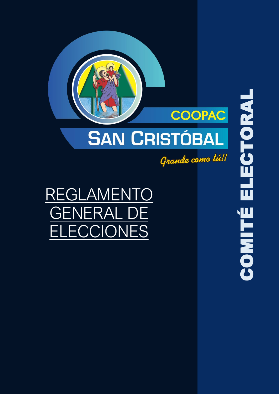

REGLAMENTO GENERAL DE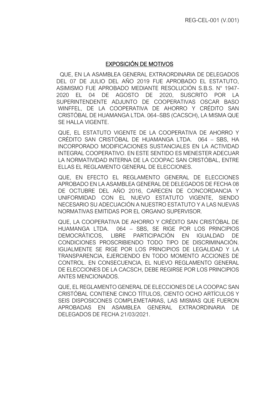# EXPOSICIÓN DE MOTIVOS

QUE, EN LA ASAMBLEA GENERAL EXTRAORDINARIA DE DELEGADOS DEL 07 DE JULIO DEL AÑO 2019 FUE APROBADO EL ESTATUTO, ASIMISMO FUE APROBADO MEDIANTE RESOLUCIÓN S.B.S. N° 1947- 2020 EL 04 DE AGOSTO DE 2020, SUSCRITO POR LA SUPERINTENDENTE ADJUNTO DE COOPERATIVAS OSCAR BASO WINFFEL, DE LA COOPERATIVA DE AHORRO Y CRÉDITO SAN CRISTÓBAL DE HUAMANGA LTDA. 064–SBS (CACSCH), LA MISMA QUE SE HALLA VIGENTE.

QUE, EL ESTATUTO VIGENTE DE LA COOPERATIVA DE AHORRO Y CRÉDITO SAN CRISTÓBAL DE HUAMANGA LTDA. 064 – SBS, HA INCORPORADO MODIFICACIONES SUSTANCIALES EN LA ACTIVIDAD INTEGRAL COOPERATIVO. EN ESTE SENTIDO ES MENESTER ADECUAR LA NORMATIVIDAD INTERNA DE LA COOPAC SAN CRISTÓBAL, ENTRE ELLAS EL REGLAMENTO GENERAL DE ELECCIONES.

QUE, EN EFECTO EL REGLAMENTO GENERAL DE ELECCIONES APROBADO EN LA ASAMBLEA GENERAL DE DELEGADOS DE FECHA 08 DE OCTUBRE DEL AÑO 2016, CARECEN DE CONCORDANCIA Y UNIFORMIDAD CON EL NUEVO ESTATUTO VIGENTE, SIENDO NECESARIO SU ADECUACIÓN A NUESTRO ESTATUTO Y A LAS NUEVAS NORMATIVAS EMITIDAS POR EL ORGANO SUPERVISOR.

QUE, LA COOPERATIVA DE AHORRO Y CRÉDITO SAN CRISTÓBAL DE HUAMANGA LTDA. 064 – SBS, SE RIGE POR LOS PRINCIPIOS DEMOCRÁTICOS, LIBRE PARTICIPACIÓN EN IGUALDAD DE CONDICIONES PROSCRIBIENDO TODO TIPO DE DISCRIMINACIÓN. IGUALMENTE SE RIGE POR LOS PRINCIPIOS DE LEGALIDAD Y LA TRANSPARENCIA, EJERCIENDO EN TODO MOMENTO ACCIONES DE CONTROL. EN CONSECUENCIA, EL NUEVO REGLAMENTO GENERAL DE ELECCIONES DE LA CACSCH, DEBE REGIRSE POR LOS PRINCIPIOS ANTES MENCIONADOS.

QUE, EL REGLAMENTO GENERAL DE ELECCIONES DE LA COOPAC SAN CRISTÓBAL CONTIENE CINCO TÍTULOS, CIENTO OCHO ARTÍCULOS Y SEIS DISPOSICONES COMPLEMETARIAS, LAS MISMAS QUE FUERON APROBADAS EN ASAMBLEA GENERAL EXTRAORDINARIA DE DELEGADOS DE FECHA 21/03/2021.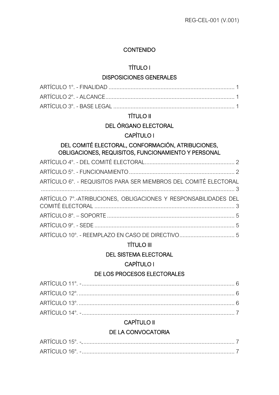## CONTENIDO

# [TÍTULO I](#page-8-0)

#### [DISPOSICIONES GENERALES](#page-8-1)

# [TÍTULO II](#page-9-0)

# [DEL ÓRGANO ELECTORAL](#page-9-1)

# [CAPÍTULO I](#page-9-2)

# [DEL COMITÉ ELECTORAL, CONFORMACIÓN, ATRIBUCIONES,](#page-9-3)  [OBLIGACIONES, REQUISITOS, FUNCIONAMIENTO Y PERSONAL](#page-9-3)

| ARTÍCULO 6°. - REQUISITOS PARA SER MIEMBROS DEL COMITÉ ELECTORAL<br>$3$ |  |
|-------------------------------------------------------------------------|--|
| ARTÍCULO 7°.-ATRIBUCIONES, OBLIGACIONES Y RESPONSABILIDADES DEL         |  |
|                                                                         |  |
|                                                                         |  |
|                                                                         |  |

# [TÍTULO III](#page-13-0)

# [DEL SISTEMA ELECTORAL](#page-13-1)

# [CAPÍTULO I](#page-13-2)

# [DE LOS PROCESOS ELECTORALES](#page-13-3)

# [CAPÍTULO II](#page-14-1)

# [DE LA CONVOCATORIA](#page-14-2)

| CI II O<br>AR <sub>1</sub><br>.1E <sup>c</sup><br>- |  |
|-----------------------------------------------------|--|
| ARTÍCULO 16 $^{\circ}$                              |  |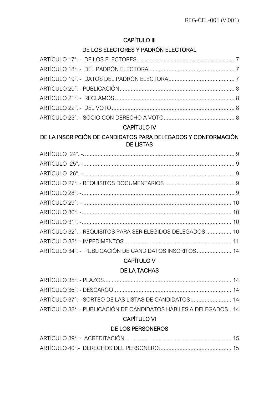# [CAPÍTULO III](#page-14-5)

# [DE LOS ELECTORES Y PADRÓN ELECTORAL](#page-14-6)

# [CAPÍTULO IV](#page-16-0)

# [DE LA INSCRIPCIÓN DE CANDIDATOS PARA DELEGADOS Y CONFORMACIÓN](#page-16-1)  [DE LISTAS](#page-16-1)

| ARTÍCULO 32°. - REQUISITOS PARA SER ELEGIDOS DELEGADOS  10 |  |
|------------------------------------------------------------|--|
|                                                            |  |
| ARTÍCULO 34°. - PUBLICACIÓN DE CANDIDATOS INSCRITOS  14    |  |

# [CAPÍTULO V](#page-21-1)

# [DE LA TACHAS](#page-21-2)

| ARTÍCULO 37°. - SORTEO DE LAS LISTAS DE CANDIDATOS  14           |  |
|------------------------------------------------------------------|--|
| ARTÍCULO 38°. - PUBLICACIÓN DE CANDIDATOS HÁBILES A DELEGADOS 14 |  |
|                                                                  |  |

# [CAPÍTULO VI](#page-22-0)

# [DE LOS PERSONEROS](#page-22-1)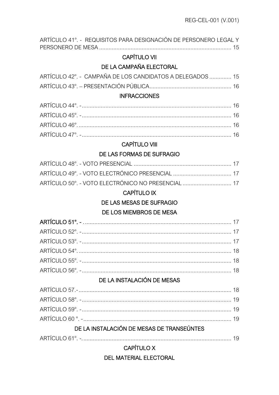| ARTÍCULO 41°. - REQUISITOS PARA DESIGNACIÓN DE PERSONERO LEGAL Y |  |
|------------------------------------------------------------------|--|
| <b>CAPÍTULO VII</b>                                              |  |
| DE LA CAMPAÑA ELECTORAL                                          |  |
| ARTÍCULO 42°. - CAMPAÑA DE LOS CANDIDATOS A DELEGADOS  15        |  |
|                                                                  |  |
| <b>INFRACCIONES</b>                                              |  |
|                                                                  |  |
|                                                                  |  |
|                                                                  |  |
|                                                                  |  |
| <b>CAPÍTULO VIII</b>                                             |  |
| DE LAS FORMAS DE SUFRAGIO                                        |  |
|                                                                  |  |
|                                                                  |  |
| ARTÍCULO 50°. - VOTO ELECTRÓNICO NO PRESENCIAL  17               |  |
| <b>CAPÍTULO IX</b>                                               |  |
| DE LAS MESAS DE SUFRAGIO                                         |  |
| DE LOS MIEMBROS DE MESA                                          |  |
|                                                                  |  |
|                                                                  |  |
|                                                                  |  |
|                                                                  |  |
|                                                                  |  |
|                                                                  |  |
| DE LA INSTALACIÓN DE MESAS                                       |  |
|                                                                  |  |
|                                                                  |  |
|                                                                  |  |
|                                                                  |  |
| DE LA INSTALACIÓN DE MESAS DE TRANSEÚNTES                        |  |
|                                                                  |  |
| <b>CAPÍTULO X</b>                                                |  |
| <b>DEL MATERIAL ELECTORAL</b>                                    |  |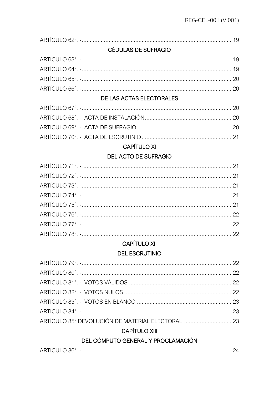|--|

# **CÉDULAS DE SUFRAGIO**

# DE LAS ACTAS ELECTORALES

# **CAPÍTULO XI**

# **DEL ACTO DE SUFRAGIO**

# **CAPÍTULO XII**

# **DEL ESCRUTINIO**

# **CAPÍTULO XIII**

# DEL CÓMPUTO GENERAL Y PROCLAMACIÓN

|--|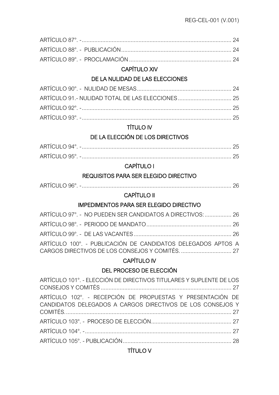# [CAPÍTULO XIV](#page-31-6)

# [DE LA NULIDAD DE LAS ELECCIONES](#page-31-7)

# [TÍTULO IV](#page-32-3)

# [DE LA ELECCIÓN DE LOS DIRECTIVOS](#page-32-4)

| ARTICI II C               |  |
|---------------------------|--|
| ARTÍCI II O 95 $^{\circ}$ |  |

# [CAPÍTULO I](#page-33-0)

# [REQUISITOS PARA SER ELEGIDO DIRECTIVO](#page-33-1)

|--|

# [CAPÍTULO II](#page-33-3)

# [IMPEDIMENTOS PARA SER ELEGIDO DIRECTIVO](#page-33-4)

| ARTÍCULO 97°. - NO PUEDEN SER CANDIDATOS A DIRECTIVOS:  26   |  |
|--------------------------------------------------------------|--|
|                                                              |  |
|                                                              |  |
| ARTÍCULO 100°. - PUBLICACIÓN DE CANDIDATOS DELEGADOS APTOS A |  |
|                                                              |  |

# [CAPÍTULO IV](#page-34-1)

# [DEL PROCESO DE ELECCIÓN](#page-34-2)

| ARTÍCULO 101°. - ELECCIÓN DE DIRECTIVOS TITULARES Y SUPLENTE DE LOS                                                      |  |
|--------------------------------------------------------------------------------------------------------------------------|--|
| ARTÍCULO 102°. - RECEPCIÓN DE PROPUESTAS Y PRESENTACIÓN DE<br>CANDIDATOS DELEGADOS A CARGOS DIRECTIVOS DE LOS CONSEJOS Y |  |
|                                                                                                                          |  |
|                                                                                                                          |  |
|                                                                                                                          |  |

# [TÍTULO V](#page-35-1)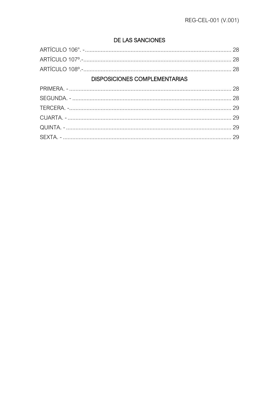# DE LAS SANCIONES

| <b>DISPOSICIONES COMPLEMENTARIAS</b> |  |
|--------------------------------------|--|
|                                      |  |
|                                      |  |
|                                      |  |
|                                      |  |
|                                      |  |
|                                      |  |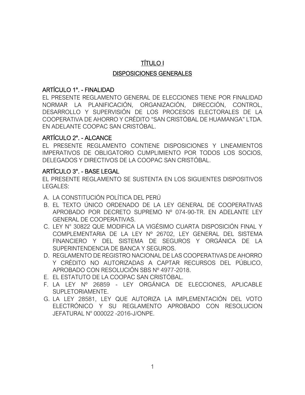# TÍTULO I

#### DISPOSICIONES GENERALES

#### <span id="page-8-0"></span>ARTÍCULO 1°. - FINALIDAD

<span id="page-8-2"></span><span id="page-8-1"></span>EL PRESENTE REGLAMENTO GENERAL DE ELECCIONES TIENE POR FINALIDAD NORMAR LA PLANIFICACIÓN, ORGANIZACIÓN, DIRECCIÓN, CONTROL, DESARROLLO Y SUPERVISIÓN DE LOS PROCESOS ELECTORALES DE LA COOPERATIVA DE AHORRO Y CRÉDITO "SAN CRISTÓBAL DE HUAMANGA" LTDA. EN ADELANTE COOPAC SAN CRISTÓBAL.

#### ARTÍCULO 2°. - ALCANCE

EL PRESENTE REGLAMENTO CONTIENE DISPOSICIONES Y LINEAMIENTOS IMPERATIVOS DE OBLIGATORIO CUMPLIMIENTO POR TODOS LOS SOCIOS, DELEGADOS Y DIRECTIVOS DE LA COOPAC SAN CRISTÓBAL.

#### <span id="page-8-3"></span>ARTÍCULO 3°. - BASE LEGAL

EL PRESENTE REGLAMENTO SE SUSTENTA EN LOS SIGUIENTES DISPOSITIVOS LEGALES:

- <span id="page-8-4"></span>A. LA CONSTITUCIÓN POLÍTICA DEL PERÚ
- B. EL TEXTO ÚNICO ORDENADO DE LA LEY GENERAL DE COOPERATIVAS APROBADO POR DECRETO SUPREMO Nº 074-90-TR. EN ADELANTE LEY GENERAL DE COOPERATIVAS.
- C. LEY N° 30822 QUE MODIFICA LA VIGÉSIMO CUARTA DISPOSICIÓN FINAL Y COMPLEMENTARIA DE LA LEY Nº 26702, LEY GENERAL DEL SISTEMA FINANCIERO Y DEL SISTEMA DE SEGUROS Y ORGÁNICA DE LA SUPERINTENDENCIA DE BANCA Y SEGUROS.
- D. REGLAMENTO DE REGISTRO NACIONAL DE LAS COOPERATIVAS DE AHORRO Y CRÉDITO NO AUTORIZADAS A CAPTAR RECURSOS DEL PÚBLICO, APROBADO CON RESOLUCIÓN SBS Nº 4977-2018.
- E. EL ESTATUTO DE LA COOPAC SAN CRISTÓBAL.
- F. LA LEY Nº 26859 LEY ORGÁNICA DE ELECCIONES, APLICABLE SUPLETORIAMENTE.
- G. LA LEY 28581, LEY QUE AUTORIZA LA IMPLEMENTACIÓN DEL VOTO ELECTRÓNICO Y SU REGLAMENTO APROBADO CON RESOLUCION JEFATURAL N° 000022 -2016-J/ONPE.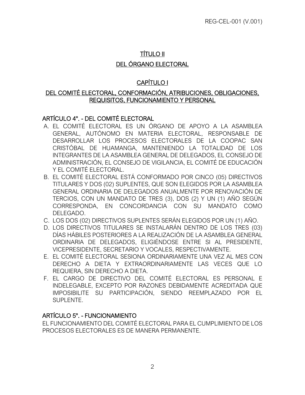# TÍTULO II DEL ÓRGANO ELECTORAL

# CAPÍTULO I

#### <span id="page-9-1"></span><span id="page-9-0"></span>DEL COMITÉ ELECTORAL, CONFORMACIÓN, ATRIBUCIONES, OBLIGACIONES, REQUISITOS, FUNCIONAMIENTO Y PERSONAL

# <span id="page-9-3"></span><span id="page-9-2"></span>ARTÍCULO 4°. - DEL COMITÉ ELECTORAL

- <span id="page-9-4"></span>A. EL COMITÉ ELECTORAL ES UN ÓRGANO DE APOYO A LA ASAMBLEA GENERAL, AUTÓNOMO EN MATERIA ELECTORAL, RESPONSABLE DE DESARROLLAR LOS PROCESOS ELECTORALES DE LA COOPAC SAN CRISTÓBAL DE HUAMANGA, MANTENIENDO LA TOTALIDAD DE LOS INTEGRANTES DE LA ASAMBLEA GENERAL DE DELEGADOS, EL CONSEJO DE ADMINISTRACIÓN, EL CONSEJO DE VIGILANCIA, EL COMITÉ DE EDUCACIÓN Y EL COMITÉ ELECTORAL.
- B. EL COMITÉ ELECTORAL ESTÁ CONFORMADO POR CINCO (05) DIRECTIVOS TITULARES Y DOS (02) SUPLENTES, QUE SON ELEGIDOS POR LA ASAMBLEA GENERAL ORDINARIA DE DELEGADOS ANUALMENTE POR RENOVACIÓN DE TERCIOS, CON UN MANDATO DE TRES (3), DOS (2) Y UN (1) AÑO SEGÚN CORRESPONDA, EN CONCORDANCIA CON SU MANDATO COMO DELEGADO.
- C. LOS DOS (02) DIRECTIVOS SUPLENTES SERÁN ELEGIDOS POR UN (1) AÑO.
- D. LOS DIRECTIVOS TITULARES SE INSTALARÁN DENTRO DE LOS TRES (03) DÍAS HÁBILES POSTERIORES A LA REALIZACIÓN DE LA ASAMBLEA GENERAL ORDINARIA DE DELEGADOS, ELIGIÉNDOSE ENTRE SI AL PRESIDENTE, VICEPRESIDENTE, SECRETARIO Y VOCALES, RESPECTIVAMENTE.
- E. EL COMITÉ ELECTORAL SESIONA ORDINARIAMENTE UNA VEZ AL MES CON DERECHO A DIETA Y EXTRAORDINARIAMENTE LAS VECES QUE LO REQUIERA, SIN DERECHO A DIETA.
- F. EL CARGO DE DIRECTIVO DEL COMITÉ ELECTORAL ES PERSONAL E INDELEGABLE, EXCEPTO POR RAZONES DEBIDAMENTE ACREDITADA QUE IMPOSIBILITE SU PARTICIPACIÓN, SIENDO REEMPLAZADO POR EL SUPLENTE.

# ARTÍCULO 5°. - FUNCIONAMIENTO

<span id="page-9-5"></span>EL FUNCIONAMIENTO DEL COMITÉ ELECTORAL PARA EL CUMPLIMIENTO DE LOS PROCESOS ELECTORALES ES DE MANERA PERMANENTE.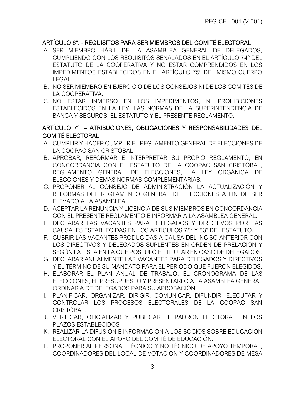# ARTÍCULO 6°. - REQUISITOS PARA SER MIEMBROS DEL COMITÉ ELECTORAL

- <span id="page-10-0"></span>A. SER MIEMBRO HÁBIL DE LA ASAMBLEA GENERAL DE DELEGADOS, CUMPLIENDO CON LOS REQUISITOS SEÑALADOS EN EL ARTÍCULO 74° DEL ESTATUTO DE LA COOPERATIVA Y NO ESTAR COMPRENDIDOS EN LOS IMPEDIMENTOS ESTABLECIDOS EN EL ARTÍCULO 75º DEL MISMO CUERPO LEGAL.
- B. NO SER MIEMBRO EN EJERCICIO DE LOS CONSEJOS NI DE LOS COMITÉS DE LA COOPERATIVA.
- C. NO ESTAR INMERSO EN LOS IMPEDIMENTOS, NI PROHIBICIONES ESTABLECIDOS EN LA LEY, LAS NORMAS DE LA SUPERINTENDENCIA DE BANCA Y SEGUROS, EL ESTATUTO Y EL PRESENTE REGLAMENTO.

## ARTÍCULO 7°. – ATRIBUCIONES, OBLIGACIONES Y RESPONSABILIDADES DEL COMITÉ ELECTORAL

- A. CUMPLIR Y HACER CUMPLIR EL REGLAMENTO GENERAL DE ELECCIONES DE LA COOPAC SAN CRISTÓBAL.
- <span id="page-10-1"></span>B. APROBAR, REFORMAR E INTERPRETAR SU PROPIO REGLAMENTO, EN CONCORDANCIA CON EL ESTATUTO DE LA COOPAC SAN CRISTÓBAL, REGLAMENTO GENERAL DE ELECCIONES, LA LEY ORGÁNICA DE ELECCIONES Y DEMÁS NORMAS COMPLEMENTARIAS.
- C. PROPONER AL CONSEJO DE ADMINISTRACIÓN LA ACTUALIZACIÓN Y REFORMAS DEL REGLAMENTO GENERAL DE ELECCIONES A FIN DE SER ELEVADO A LA ASAMBLEA.
- D. ACEPTAR LA RENUNCIA Y LICENCIA DE SUS MIEMBROS EN CONCORDANCIA CON EL PRESENTE REGLAMENTO E INFORMAR A LA ASAMBLEA GENERAL.
- E. DECLARAR LAS VACANTES PARA DELEGADOS Y DIRECTIVOS POR LAS CAUSALES ESTABLECIDAS EN LOS ARTÍCULOS 78° Y 83° DEL ESTATUTO.
- F. CUBRIR LAS VACANTES PRODUCIDAS A CAUSA DEL INCISO ANTERIOR CON LOS DIRECTIVOS Y DELEGADOS SUPLENTES EN ORDEN DE PRELACIÓN Y SEGÚN LA LISTA EN LA QUE POSTULÓ EL TITULAR EN CASO DE DELEGADOS.
- G. DECLARAR ANUALMENTE LAS VACANTES PARA DELEGADOS Y DIRECTIVOS Y EL TÉRMINO DE SU MANDATO PARA EL PERIODO QUE FUERON ELEGIDOS.
- H. ELABORAR EL PLAN ANUAL DE TRABAJO, EL CRONOGRAMA DE LAS ELECCIONES, EL PRESUPUESTO Y PRESENTARLO A LA ASAMBLEA GENERAL ORDINARIA DE DELEGADOS PARA SU APROBACIÓN.
- I. PLANIFICAR, ORGANIZAR, DIRIGIR, COMUNICAR, DIFUNDIR, EJECUTAR Y CONTROLAR LOS PROCESOS ELECTORALES DE LA COOPAC SAN CRISTÓBAL.
- J. VERIFICAR, OFICIALIZAR Y PUBLICAR EL PADRÓN ELECTORAL EN LOS PLAZOS ESTABLECIDOS
- K. REALIZAR LA DIFUSIÓN E INFORMACIÓN A LOS SOCIOS SOBRE EDUCACIÓN ELECTORAL CON EL APOYO DEL COMITÉ DE EDUCACIÓN.
- L. PROPONER AL PERSONAL TÉCNICO Y NO TÉCNICO DE APOYO TEMPORAL, COORDINADORES DEL LOCAL DE VOTACIÓN Y COORDINADORES DE MESA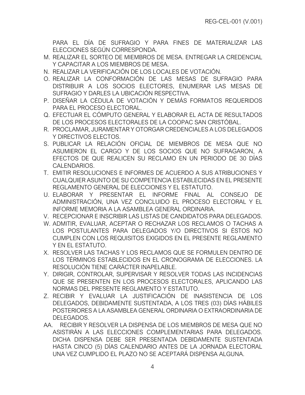PARA EL DÍA DE SUFRAGIO Y PARA FINES DE MATERIALIZAR LAS ELECCIONES SEGÚN CORRESPONDA.

- M. REALIZAR EL SORTEO DE MIEMBROS DE MESA. ENTREGAR LA CREDENCIAL Y CAPACITAR A LOS MIEMBROS DE MESA.
- N. REALIZAR LA VERIFICACIÓN DE LOS LOCALES DE VOTACIÓN.
- O. REALIZAR LA CONFORMACIÓN DE LAS MESAS DE SUFRAGIO PARA DISTRIBUIR A LOS SOCIOS ELECTORES, ENUMERAR LAS MESAS DE SUFRAGIO Y DARLES LA UBICACIÓN RESPECTIVA.
- P. DISEÑAR LA CÉDULA DE VOTACIÓN Y DEMÁS FORMATOS REQUERIDOS PARA EL PROCESO ELECTORAL.
- Q. EFECTUAR EL CÓMPUTO GENERAL Y ELABORAR EL ACTA DE RESULTADOS DE LOS PROCESOS ELECTORALES DE LA COOPAC SAN CRISTÓBAL.
- R. PROCLAMAR, JURAMENTAR Y OTORGAR CREDENCIALES A LOS DELEGADOS Y DIRECTIVOS ELECTOS.
- S. PUBLICAR LA RELACIÓN OFICIAL DE MIEMBROS DE MESA QUE NO ASUMIERON EL CARGO Y DE LOS SOCIOS QUE NO SUFRAGARON, A EFECTOS DE QUE REALICEN SU RECLAMO EN UN PERIODO DE 30 DÍAS CALENDARIOS.
- T. EMITIR RESOLUCIONES E INFORMES DE ACUERDO A SUS ATRIBUCIONES Y CUALQUIER ASUNTO DE SU COMPETENCIA ESTABLECIDAS EN EL PRESENTE REGLAMENTO GENERAL DE ELECCIONES Y EL ESTATUTO.
- U. ELABORAR Y PRESENTAR EL INFORME FINAL AL CONSEJO DE ADMINISTRACIÓN, UNA VEZ CONCLUIDO EL PROCESO ELECTORAL Y EL INFORME MEMORIA A LA ASAMBLEA GENERAL ORDINARIA.
- V. RECEPCIONAR E INSCRIBIR LAS LISTAS DE CANDIDATOS PARA DELEGADOS.
- W. ADMITIR, EVALUAR, ACEPTAR O RECHAZAR LOS RECLAMOS O TACHAS A LOS POSTULANTES PARA DELEGADOS Y/O DIRECTIVOS SI ÉSTOS NO CUMPLEN CON LOS REQUISITOS EXIGIDOS EN EL PRESENTE REGLAMENTO Y EN EL ESTATUTO.
- X. RESOLVER LAS TACHAS Y LOS RECLAMOS QUE SE FORMULEN DENTRO DE LOS TÉRMINOS ESTABLECIDOS EN EL CRONOGRAMA DE ELECCIONES. LA RESOLUCIÓN TIENE CARÁCTER INAPELABLE.
- Y. DIRIGIR, CONTROLAR, SUPERVISAR Y RESOLVER TODAS LAS INCIDENCIAS QUE SE PRESENTEN EN LOS PROCESOS ELECTORALES, APLICANDO LAS NORMAS DEL PRESENTE REGLAMENTO Y ESTATUTO.
- Z. RECIBIR Y EVALUAR LA JUSTIFICACIÓN DE INASISTENCIA DE LOS DELEGADOS, DEBIDAMENTE SUSTENTADA, A LOS TRES (03) DÍAS HÁBILES POSTERIORES A LA ASAMBLEA GENERAL ORDINARIA O EXTRAORDINARIA DE DELEGADOS.
- AA. RECIBIR Y RESOLVER LA DISPENSA DE LOS MIEMBROS DE MESA QUE NO ASISTIRÁN A LAS ELECCIONES COMPLEMENTARIAS PARA DELEGADOS. DICHA DISPENSA DEBE SER PRESENTADA DEBIDAMENTE SUSTENTADA HASTA CINCO (5) DÍAS CALENDARIO ANTES DE LA JORNADA ELECTORAL UNA VEZ CUMPLIDO EL PLAZO NO SE ACEPTARÁ DISPENSA ALGUNA.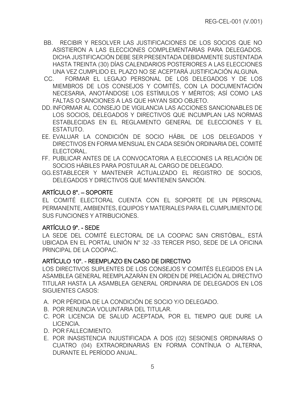- BB. RECIBIR Y RESOLVER LAS JUSTIFICACIONES DE LOS SOCIOS QUE NO ASISTIERON A LAS ELECCIONES COMPLEMENTARIAS PARA DELEGADOS. DICHA JUSTIFICACIÓN DEBE SER PRESENTADA DEBIDAMENTE SUSTENTADA HASTA TREINTA (30) DÍAS CALENDARIOS POSTERIORES A LAS ELECCIONES UNA VEZ CUMPLIDO EL PLAZO NO SE ACEPTARÁ JUSTIFICACIÓN ALGUNA.
- CC. FORMAR EL LEGAJO PERSONAL DE LOS DELEGADOS Y DE LOS MIEMBROS DE LOS CONSEJOS Y COMITÉS, CON LA DOCUMENTACIÓN NECESARIA, ANOTÁNDOSE LOS ESTÍMULOS Y MÉRITOS; ASÍ COMO LAS FALTAS O SANCIONES A LAS QUE HAYAN SIDO OBJETO.
- DD.INFORMAR AL CONSEJO DE VIGILANCIA LAS ACCIONES SANCIONABLES DE LOS SOCIOS, DELEGADOS Y DIRECTIVOS QUE INCUMPLAN LAS NORMAS ESTABLECIDAS EN EL REGLAMENTO GENERAL DE ELECCIONES Y EL ESTATUTO.
- EE. EVALUAR LA CONDICIÓN DE SOCIO HÁBIL DE LOS DELEGADOS Y DIRECTIVOS EN FORMA MENSUAL EN CADA SESIÓN ORDINARIA DEL COMITÉ ELECTORAL.
- FF. PUBLICAR ANTES DE LA CONVOCATORIA A ELECCIONES LA RELACIÓN DE SOCIOS HÁBILES PARA POSTULAR AL CARGO DE DELEGADO.
- GG.ESTABLECER Y MANTENER ACTUALIZADO EL REGISTRO DE SOCIOS, DELEGADOS Y DIRECTIVOS QUE MANTIENEN SANCIÓN.

# ARTÍCULO 8°. – SOPORTE

EL COMITÉ ELECTORAL CUENTA CON EL SOPORTE DE UN PERSONAL PERMANENTE, AMBIENTES, EQUIPOS Y MATERIALES PARA EL CUMPLIMIENTO DE SUS FUNCIONES Y ATRIBUCIONES.

# <span id="page-12-0"></span>ARTÍCULO 9°. - SEDE

LA SEDE DEL COMITÉ ELECTORAL DE LA COOPAC SAN CRISTÓBAL, ESTÁ UBICADA EN EL PORTAL UNIÓN N° 32 -33 TERCER PISO, SEDE DE LA OFICINA PRINCIPAL DE LA COOPAC.

# <span id="page-12-1"></span>ARTÍCULO 10°. - REEMPLAZO EN CASO DE DIRECTIVO

LOS DIRECTIVOS SUPLENTES DE LOS CONSEJOS Y COMITÉS ELEGIDOS EN LA ASAMBLEA GENERAL REEMPLAZARÁN EN ORDEN DE PRELACIÓN AL DIRECTIVO TITULAR HASTA LA ASAMBLEA GENERAL ORDINARIA DE DELEGADOS EN LOS SIGUIENTES CASOS:

- <span id="page-12-2"></span>A. POR PÉRDIDA DE LA CONDICIÓN DE SOCIO Y/O DELEGADO.
- B. POR RENUNCIA VOLUNTARIA DEL TITULAR.
- C. POR LICENCIA DE SALUD ACEPTADA, POR EL TIEMPO QUE DURE LA LICENCIA.
- D. POR FALLECIMIENTO.
- E. POR INASISTENCIA INJUSTIFICADA A DOS (02) SESIONES ORDINARIAS O CUATRO (04) EXTRAORDINARIAS EN FORMA CONTÍNUA O ALTERNA, DURANTE EL PERÍODO ANUAL.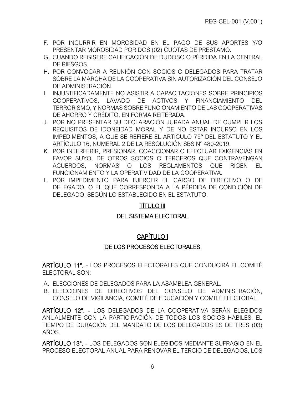- F. POR INCURRIR EN MOROSIDAD EN EL PAGO DE SUS APORTES Y/O PRESENTAR MOROSIDAD POR DOS (02) CUOTAS DE PRÉSTAMO.
- G. CUANDO REGISTRE CALIFICACIÓN DE DUDOSO O PÉRDIDA EN LA CENTRAL DE RIESGOS.
- H. POR CONVOCAR A REUNIÓN CON SOCIOS O DELEGADOS PARA TRATAR SOBRE LA MARCHA DE LA COOPERATIVA SIN AUTORIZACIÓN DEL CONSEJO DE ADMINISTRACIÓN
- I. INJUSTIFICADAMENTE NO ASISTIR A CAPACITACIONES SOBRE PRINCIPIOS COOPERATIVOS, LAVADO DE ACTIVOS Y FINANCIAMIENTO DEL TERRORISMO, Y NORMAS SOBRE FUNCIONAMIENTO DE LAS COOPERATIVAS DE AHORRO Y CRÉDITO, EN FORMA REITERADA.
- J. POR NO PRESENTAR SU DECLARACIÓN JURADA ANUAL DE CUMPLIR LOS REQUISITOS DE IDONEIDAD MORAL Y DE NO ESTAR INCURSO EN LOS IMPEDIMENTOS, A QUE SE REFIERE EL ARTÍCULO 75° DEL ESTATUTO Y EL ARTÍCULO 16, NUMERAL 2 DE LA RESOLUCIÓN SBS N° 480-2019.
- K. POR INTERFERIR, PRESIONAR, COACCIONAR O EFECTUAR EXIGENCIAS EN FAVOR SUYO, DE OTROS SOCIOS O TERCEROS QUE CONTRAVENGAN ACUERDOS, NORMAS O LOS REGLAMENTOS QUE RIGEN EL FUNCIONAMIENTO Y LA OPERATIVIDAD DE LA COOPERATIVA.
- L. POR IMPEDIMENTO PARA EJERCER EL CARGO DE DIRECTIVO O DE DELEGADO, O EL QUE CORRESPONDA A LA PÉRDIDA DE CONDICIÓN DE DELEGADO, SEGÚN LO ESTABLECIDO EN EL ESTATUTO.

# TÍTULO III

# DEL SISTEMA ELECTORAL

# CAPÍTULO I

# DE LOS PROCESOS ELECTORALES

<span id="page-13-3"></span><span id="page-13-2"></span><span id="page-13-1"></span><span id="page-13-0"></span>ARTÍCULO 11°. - LOS PROCESOS ELECTORALES QUE CONDUCIRÁ EL COMITÉ ELECTORAL SON:

- A. ELECCIONES DE DELEGADOS PARA LA ASAMBLEA GENERAL.
- <span id="page-13-4"></span>B. ELECCIONES DE DIRECTIVOS DEL CONSEJO DE ADMINISTRACIÓN, CONSEJO DE VIGILANCIA, COMITÉ DE EDUCACIÓN Y COMITÉ ELECTORAL.

ARTÍCULO 12°. - LOS DELEGADOS DE LA COOPERATIVA SERÁN ELEGIDOS ANUALMENTE CON LA PARTICIPACIÓN DE TODOS LOS SOCIOS HÁBILES. EL TIEMPO DE DURACIÓN DEL MANDATO DE LOS DELEGADOS ES DE TRES (03) AÑOS.

<span id="page-13-6"></span><span id="page-13-5"></span>ARTÍCULO 13°. - LOS DELEGADOS SON ELEGIDOS MEDIANTE SUFRAGIO EN EL PROCESO ELECTORAL ANUAL PARA RENOVAR EL TERCIO DE DELEGADOS, LOS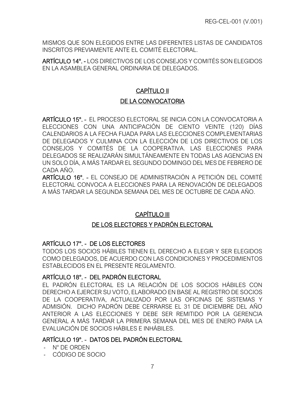MISMOS QUE SON ELEGIDOS ENTRE LAS DIFERENTES LISTAS DE CANDIDATOS INSCRITOS PREVIAMENTE ANTE EL COMITÉ ELECTORAL.

<span id="page-14-0"></span>ARTÍCULO 14°. - LOS DIRECTIVOS DE LOS CONSEJOS Y COMITÉS SON ELEGIDOS EN LA ASAMBLEA GENERAL ORDINARIA DE DELEGADOS.

# CAPÍTULO II

# DE LA CONVOCATORIA

<span id="page-14-3"></span><span id="page-14-2"></span><span id="page-14-1"></span>ARTÍCULO 15°. - EL PROCESO ELECTORAL SE INICIA CON LA CONVOCATORIA A ELECCIONES CON UNA ANTICIPACIÓN DE CIENTO VEINTE (120) DÍAS CALENDARIOS A LA FECHA FIJADA PARA LAS ELECCIONES COMPLEMENTARIAS DE DELEGADOS Y CULMINA CON LA ELECCIÓN DE LOS DIRECTIVOS DE LOS CONSEJOS Y COMITÉS DE LA COOPERATIVA. LAS ELECCIONES PARA DELEGADOS SE REALIZARÁN SIMULTÁNEAMENTE EN TODAS LAS AGENCIAS EN UN SOLO DÍA, A MÁS TARDAR EL SEGUNDO DOMINGO DEL MES DE FEBRERO DE CADA AÑO.

<span id="page-14-4"></span>ARTÍCULO 16°. - EL CONSEJO DE ADMINISTRACIÓN A PETICIÓN DEL COMITÉ ELECTORAL CONVOCA A ELECCIONES PARA LA RENOVACIÓN DE DELEGADOS A MÁS TARDAR LA SEGUNDA SEMANA DEL MES DE OCTUBRE DE CADA AÑO.

# CAPÍTULO III

# DE LOS ELECTORES Y PADRÓN ELECTORAL

# <span id="page-14-6"></span><span id="page-14-5"></span>ARTÍCULO 17°. - DE LOS ELECTORES

TODOS LOS SOCIOS HÁBILES TIENEN EL DERECHO A ELEGIR Y SER ELEGIDOS COMO DELEGADOS, DE ACUERDO CON LAS CONDICIONES Y PROCEDIMIENTOS ESTABLECIDOS EN EL PRESENTE REGLAMENTO.

# <span id="page-14-7"></span>ARTÍCULO 18°. - DEL PADRÓN ELECTORAL

<span id="page-14-8"></span>EL PADRÓN ELECTORAL ES LA RELACIÓN DE LOS SOCIOS HÁBILES CON DERECHO A EJERCER SU VOTO, ELABORADO EN BASE AL REGISTRO DE SOCIOS DE LA COOPERATIVA, ACTUALIZADO POR LAS OFICINAS DE SISTEMAS Y ADMISIÓN. DICHO PADRÓN DEBE CERRARSE EL 31 DE DICIEMBRE DEL AÑO ANTERIOR A LAS ELECCIONES Y DEBE SER REMITIDO POR LA GERENCIA GENERAL A MÁS TARDAR LA PRIMERA SEMANA DEL MES DE ENERO PARA LA EVALUACIÓN DE SOCIOS HÁBILES E INHÁBILES.

# ARTÍCULO 19°. - DATOS DEL PADRÓN ELECTORAL

- N° DE ORDEN

<span id="page-14-9"></span>- CÓDIGO DE SOCIO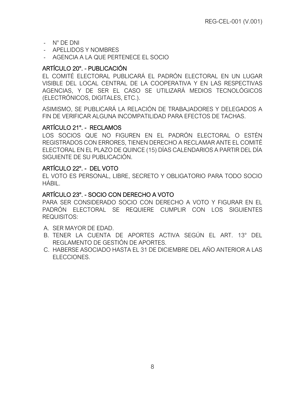- N° DE DNI
- APELLIDOS Y NOMBRES
- AGENCIA A LA QUE PERTENECE EL SOCIO

## ARTÍCULO 20°. - PUBLICACIÓN

EL COMITÉ ELECTORAL PUBLICARÁ EL PADRÓN ELECTORAL EN UN LUGAR VISIBLE DEL LOCAL CENTRAL DE LA COOPERATIVA Y EN LAS RESPECTIVAS AGENCIAS, Y DE SER EL CASO SE UTILIZARÁ MEDIOS TECNOLÓGICOS (ELECTRÓNICOS, DIGITALES, ETC.).

<span id="page-15-0"></span>ASIMISMO, SE PUBLICARÁ LA RELACIÓN DE TRABAJADORES Y DELEGADOS A FIN DE VERIFICAR ALGUNA INCOMPATILIDAD PARA EFECTOS DE TACHAS.

#### ARTÍCULO 21°. - RECLAMOS

LOS SOCIOS QUE NO FIGUREN EN EL PADRÓN ELECTORAL O ESTÉN REGISTRADOS CON ERRORES, TIENEN DERECHO A RECLAMAR ANTE EL COMITÉ ELECTORAL EN EL PLAZO DE QUINCE (15) DÍAS CALENDARIOS A PARTIR DEL DÍA SIGUIENTE DE SU PUBLICACIÓN.

#### <span id="page-15-1"></span>ARTÍCULO 22°. - DEL VOTO

EL VOTO ES PERSONAL, LIBRE, SECRETO Y OBLIGATORIO PARA TODO SOCIO HÁBIL.

#### <span id="page-15-2"></span>ARTÍCULO 23°. - SOCIO CON DERECHO A VOTO

PARA SER CONSIDERADO SOCIO CON DERECHO A VOTO Y FIGURAR EN EL PADRÓN ELECTORAL SE REQUIERE CUMPLIR CON LOS SIGUIENTES REQUISITOS:

- <span id="page-15-3"></span>A. SER MAYOR DE EDAD.
- B. TENER LA CUENTA DE APORTES ACTIVA SEGÚN EL ART. 13° DEL REGLAMENTO DE GESTIÓN DE APORTES.
- C. HABERSE ASOCIADO HASTA EL 31 DE DICIEMBRE DEL AÑO ANTERIOR A LAS ELECCIONES.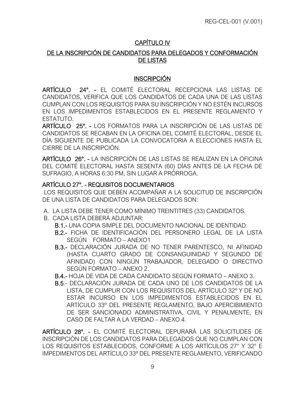# CAPÍTULO IV

## <span id="page-16-0"></span>DE LA INSCRIPCIÓN DE CANDIDATOS PARA DELEGADOS Y CONFORMACIÓN DE LISTAS

# **INSCRIPCIÓN**

<span id="page-16-1"></span>ARTÍCULO 24°. - EL COMITÉ ELECTORAL RECEPCIONA LAS LISTAS DE CANDIDATOS, VERIFICA QUE LOS CANDIDATOS DE CADA UNA DE LAS LISTAS CUMPLAN CON LOS REQUISITOS PARA SU INSCRIPCIÓN Y NO ESTÉN INCURSOS EN LOS IMPEDIMENTOS ESTABLECIDOS EN EL PRESENTE REGLAMENTO Y ESTATUTO.

<span id="page-16-2"></span>ARTÍCULO 25°. - LOS FORMATOS PARA LA INSCRIPCIÓN DE LAS LISTAS DE CANDIDATOS SE RECABAN EN LA OFICINA DEL COMITÉ ELECTORAL, DESDE EL DÍA SIGUIENTE DE PUBLICADA LA CONVOCATORIA A ELECCIONES HASTA EL CIERRE DE LA INSCRIPCIÓN.

<span id="page-16-3"></span>ARTÍCULO 26°. - LA INSCRIPCIÓN DE LAS LISTAS SE REALIZAN EN LA OFICINA DEL COMITÉ ELECTORAL HASTA SESENTA (60) DÍAS ANTES DE LA FECHA DE SUFRAGIO, A HORAS 6:30 PM, SIN LUGAR A PRÓRROGA.

# <span id="page-16-4"></span>ARTÍCULO 27°. - REQUISITOS DOCUMENTARIOS

LOS REQUISITOS QUE DEBEN ACOMPAÑAR A LA SOLICITUD DE INSCRIPCIÓN DE UNA LISTA DE CANDIDATOS PARA DELEGADOS SON:

- <span id="page-16-5"></span>A. LA LISTA DEBE TENER COMO MÍNIMO TREINTITRES (33) CANDIDATOS.
- B. CADA LISTA DEBERÁ ADJUNTAR:
	- B.1.- UNA COPIA SIMPLE DEL DOCUMENTO NACIONAL DE IDENTIDAD.
	- B.2.- FICHA DE IDENTIFICACIÓN DEL PERSONERO LEGAL DE LA LISTA SEGÚN FORMATO – ANEXO1
	- B.3.- DECLARACIÓN JURADA DE NO TENER PARENTESCO, NI AFINIDAD (HASTA CUARTO GRADO DE CONSANGUINIDAD Y SEGUNDO DE AFINIDAD) CON NINGÚN TRABAJADOR, DELEGADO O DIRECTIVO SEGÚN FORMATO – ANEXO 2.
	- B.4.- HOJA DE VIDA DE CADA CANDIDATO SEGÚN FORMATO ANEXO 3.
	- B.5.- DECLARACIÓN JURADA DE CADA UNO DE LOS CANDIDATOS DE LA LISTA, DE CUMPLIR CON LOS REQUISITOS DEL ARTÍCULO 32º Y DE NO ESTAR INCURSO EN LOS IMPEDIMENTOS ESTABLECIDOS EN EL ARTÍCULO 33º DEL PRESENTE REGLAMENTO, BAJO APERCIBIMIENTO DE SER SANCIONADO ADMINISTRATIVA, CIVIL Y PENALMENTE, EN CASO DE FALTAR A LA VERDAD – ANEXO 4.

<span id="page-16-6"></span>ARTÍCULO 28°. - EL COMITÉ ELECTORAL DEPURARÁ LAS SOLICITUDES DE INSCRIPCIÓN DE LOS CANDIDATOS PARA DELEGADOS QUE NO CUMPLAN CON LOS REQUISITOS ESTABLECIDOS, CONFORME A LOS ARTÍCULOS 27° Y 32° E IMPEDIMENTOS DEL ARTÍCULO 33º DEL PRESENTE REGLAMENTO, VERIFICANDO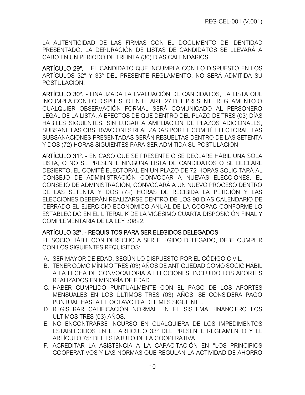LA AUTENTICIDAD DE LAS FIRMAS CON EL DOCUMENTO DE IDENTIDAD PRESENTADO. LA DEPURACIÓN DE LISTAS DE CANDIDATOS SE LLEVARÁ A CABO EN UN PERIODO DE TREINTA (30) DÍAS CALENDARIOS.

ARTÍCULO 29°. – EL CANDIDATO QUE INCUMPLA CON LO DISPUESTO EN LOS ARTÍCULOS 32° Y 33° DEL PRESENTE REGLAMENTO, NO SERÁ ADMITIDA SU POSTULACIÓN.

<span id="page-17-1"></span><span id="page-17-0"></span>ARTÍCULO 30°. - FINALIZADA LA EVALUACIÓN DE CANDIDATOS, LA LISTA QUE INCUMPLA CON LO DISPUESTO EN EL ART. 27 DEL PRESENTE REGLAMENTO O CUALQUIER OBSERVACIÓN FORMAL SERÁ COMUNICADO AL PERSONERO LEGAL DE LA LISTA, A EFECTOS DE QUE DENTRO DEL PLAZO DE TRES (03) DÍAS HÁBILES SIGUIENTES, SIN LUGAR A AMPLIACIÓN DE PLAZOS ADICIONALES, SUBSANE LAS OBSERVACIONES REALIZADAS POR EL COMITÉ ELECTORAL. LAS SUBSANACIONES PRESENTADAS SERÁN RESUELTAS DENTRO DE LAS SETENTA Y DOS (72) HORAS SIGUIENTES PARA SER ADMITIDA SU POSTULACIÓN.

<span id="page-17-2"></span>ARTÍCULO 31°. - EN CASO QUE SE PRESENTE O SE DECLARE HÁBIL UNA SOLA LISTA, O NO SE PRESENTE NINGUNA LISTA DE CANDIDATOS O SE DECLARE DESIERTO, EL COMITÉ ELECTORAL EN UN PLAZO DE 72 HORAS SOLICITARÁ AL CONSEJO DE ADMINISTRACIÓN CONVOCAR A NUEVAS ELECCIONES. EL CONSEJO DE ADMINISTRACIÓN, CONVOCARÁ A UN NUEVO PROCESO DENTRO DE LAS SETENTA Y DOS (72) HORAS DE RECIBIDA LA PETICIÓN Y LAS ELECCIONES DEBERÁN REALIZARSE DENTRO DE LOS 90 DÍAS CALENDARIO DE CERRADO EL EJERCICIO ECONÓMICO ANUAL DE LA COOPAC CONFORME LO ESTABLECIDO EN EL LITERAL K DE LA VIGÉSIMO CUARTA DISPOSICIÓN FINAL Y COMPLEMENTARIA DE LA LEY 30822.

#### ARTÍCULO 32°. - REQUISITOS PARA SER ELEGIDOS DELEGADOS

EL SOCIO HÁBIL CON DERECHO A SER ELEGIDO DELEGADO, DEBE CUMPLIR CON LOS SIGUIENTES REQUISITOS:

- <span id="page-17-3"></span>A. SER MAYOR DE EDAD, SEGÚN LO DISPUESTO POR EL CÓDIGO CIVIL.
- B. TENER COMO MÍNIMO TRES (03) AÑOS DE ANTIGÜEDAD COMO SOCIO HÁBIL A LA FECHA DE CONVOCATORIA A ELECCIONES. INCLUIDO LOS APORTES REALIZADOS EN MINORÍA DE EDAD.
- C. HABER CUMPLIDO PUNTUALMENTE CON EL PAGO DE LOS APORTES MENSUALES EN LOS ÚLTIMOS TRES (03) AÑOS. SE CONSIDERA PAGO PUNTUAL HASTA EL OCTAVO DÍA DEL MES SIGUIENTE.
- D. REGISTRAR CALIFICACIÓN NORMAL EN EL SISTEMA FINANCIERO LOS ÚLTIMOS TRES (03) AÑOS.
- E. NO ENCONTRARSE INCURSO EN CUALQUIERA DE LOS IMPEDIMENTOS ESTABLECIDOS EN EL ARTÍCULO 33° DEL PRESENTE REGLAMENTO Y EL ARTÍCULO 75° DEL ESTATUTO DE LA COOPERATIVA.
- F. ACREDITAR LA ASISTENCIA A LA CAPACITACIÓN EN "LOS PRINCIPIOS COOPERATIVOS Y LAS NORMAS QUE REGULAN LA ACTIVIDAD DE AHORRO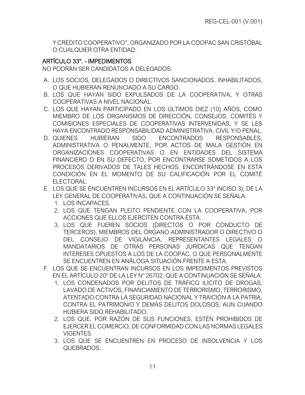Y CRÉDITO COOPERATIVO", ORGANIZADO POR LA COOPAC SAN CRISTÓBAL O CUALQUIER OTRA ENTIDAD.

# ARTÍCULO 33°. - IMPEDIMENTOS

NO PODRÁN SER CANDIDATOS A DELEGADOS:

- <span id="page-18-0"></span>A. LOS SOCIOS, DELEGADOS O DIRECTIVOS SANCIONADOS, INHABILITADOS, O QUE HUBIERAN RENUNCIADO A SU CARGO.
- B. LOS QUE HAYAN SIDO EXPULSADOS DE LA COOPERATIVA, Y OTRAS COOPERATIVAS A NIVEL NACIONAL.
- C. LOS QUE HAYAN PARTICIPADO EN LOS ÚLTIMOS DIEZ (10) AÑOS, COMO MIEMBRO DE LOS ORGANISMOS DE DIRECCIÓN, CONSEJOS, COMITÉS Y COMISIONES ESPECIALES DE COOPERATIVAS INTERVENIDAS, Y SE LES HAYA ENCONTRADO RESPONSABILIDAD ADMINISTRATIVA, CIVIL Y/O PENAL.
- D. QUIENES HUBIERAN SIDO ENCONTRADOS RESPONSABLES, ADMINISTRATIVA O PENALMENTE, POR ACTOS DE MALA GESTIÓN EN ORGANIZACIONES COOPERATIVAS O EN ENTIDADES DEL SISTEMA FINANCIERO O EN SU DEFECTO, POR ENCONTRARSE SOMETIDOS A LOS PROCESOS DERIVADOS DE TALES HECHOS, ENCONTRÁNDOSE EN ESTA CONDICIÓN EN EL MOMENTO DE SU CALIFICACIÓN POR EL COMITÉ ELECTORAL.
- E. LOS QUE SE ENCUENTREN INCURSOS EN EL ARTÍCULO 33° INCISO 3), DE LA LEY GENERAL DE COOPERATIVAS, QUE A CONTINUACIÓN SE SEÑALA:
	- 1. LOS INCAPACES.
	- 2. LOS QUE TENGAN PLEITO PENDIENTE CON LA COOPERATIVA, POR ACCIONES QUE ELLOS EJERCITEN CONTRA ÉSTA.
	- 3. LOS QUE FUEREN SOCIOS (DIRECTOS O POR CONDUCTO DE TERCEROS), MIEMBROS DEL ÓRGANO ADMINISTRADOR O DIRECTIVO O DEL CONSEJO DE VIGILANCIA, REPRESENTANTES LEGALES O MANDATARIOS DE OTRAS PERSONAS JURÍDICAS QUE TENGAN INTERESES OPUESTOS A LOS DE LA COOPAC, O QUE PERSONALMENTE SE ENCUENTREN EN ANÁLOGA SITUACIÓN FRENTE A ESTA.
- F. LOS QUE SE ENCUENTRAN INCURSOS EN LOS IMPEDIMENTOS PREVISTOS EN EL ARTÍCULO 20° DE LA LEY N° 26702, QUE A CONTINUACIÓN SE SEÑALA:
	- 1. LOS CONDENADOS POR DELITOS DE TRÁFICO ILÍCITO DE DROGAS, LAVADO DE ACTIVOS, FINANCIAMIENTO DE TERRORISMO, TERRORISMO, ATENTADO CONTRA LA SEGURIDAD NACIONAL Y TRAICIÓN A LA PATRIA, CONTRA EL PATRIMONIO Y DEMÁS DELITOS DOLOSOS, AUN CUANDO HUBIERA SIDO REHABILITADO.
	- 2. LOS QUE, POR RAZÓN DE SUS FUNCIONES, ESTÉN PROHIBIDOS DE EJERCER EL COMERCIO, DE CONFORMIDAD CON LAS NORMAS LEGALES VIGENTES.
	- 3. LOS QUE SE ENCUENTREN EN PROCESO DE INSOLVENCIA Y LOS QUEBRADOS.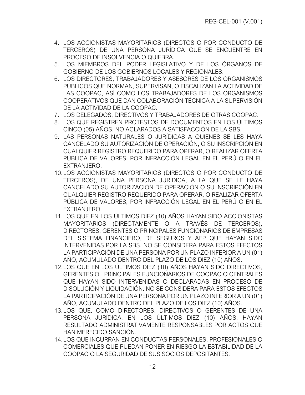- 4. LOS ACCIONISTAS MAYORITARIOS (DIRECTOS O POR CONDUCTO DE TERCEROS) DE UNA PERSONA JURÍDICA QUE SE ENCUENTRE EN PROCESO DE INSOLVENCIA O QUIEBRA.
- 5. LOS MIEMBROS DEL PODER LEGISLATIVO Y DE LOS ÓRGANOS DE GOBIERNO DE LOS GOBIERNOS LOCALES Y REGIONALES.
- 6. LOS DIRECTORES, TRABAJADORES Y ASESORES DE LOS ORGANISMOS PÚBLICOS QUE NORMAN, SUPERVISAN, O FISCALIZAN LA ACTIVIDAD DE LAS COOPAC, ASÍ COMO LOS TRABAJADORES DE LOS ORGANISMOS COOPERATIVOS QUE DAN COLABORACIÓN TÉCNICA A LA SUPERVISIÓN DE LA ACTIVIDAD DE LA COOPAC.
- 7. LOS DELEGADOS, DIRECTIVOS Y TRABAJADORES DE OTRAS COOPAC.
- 8. LOS QUE REGISTREN PROTESTOS DE DOCUMENTOS EN LOS ÚLTIMOS CINCO (05) AÑOS, NO ACLARADOS A SATISFACCIÓN DE LA SBS.
- 9. LAS PERSONAS NATURALES O JURÍDICAS A QUIENES SE LES HAYA CANCELADO SU AUTORIZACIÓN DE OPERACIÓN, O SU INSCRIPCIÓN EN CUALQUIER REGISTRO REQUERIDO PARA OPERAR, O REALIZAR OFERTA PÚBLICA DE VALORES, POR INFRACCIÓN LEGAL EN EL PERÚ O EN EL EXTRANJERO.
- 10.LOS ACCIONISTAS MAYORITARIOS (DIRECTOS O POR CONDUCTO DE TERCEROS), DE UNA PERSONA JURÍDICA, A LA QUE SE LE HAYA CANCELADO SU AUTORIZACIÓN DE OPERACIÓN O SU INSCRIPCIÓN EN CUALQUIER REGISTRO REQUERIDO PARA OPERAR, O REALIZAR OFERTA PÚBLICA DE VALORES, POR INFRACCIÓN LEGAL EN EL PERÚ O EN EL EXTRANJERO.
- 11.LOS QUE EN LOS ÚLTIMOS DIEZ (10) AÑOS HAYAN SIDO ACCIONISTAS MAYORITARIOS (DIRECTAMENTE O A TRAVÉS DE TERCEROS), DIRECTORES, GERENTES O PRINCIPALES FUNCIONARIOS DE EMPRESAS DEL SISTEMA FINANCIERO, DE SEGUROS Y AFP QUE HAYAN SIDO INTERVENIDAS POR LA SBS. NO SE CONSIDERA PARA ESTOS EFECTOS LA PARTICIPACIÓN DE UNA PERSONA POR UN PLAZO INFERIOR A UN (01) AÑO, ACUMULADO DENTRO DEL PLAZO DE LOS DIEZ (10) AÑOS.
- 12.LOS QUE EN LOS ÚLTIMOS DIEZ (10) AÑOS HAYAN SIDO DIRECTIVOS, GERENTES O PRINCIPALES FUNCIONARIOS DE COOPAC O CENTRALES QUE HAYAN SIDO INTERVENIDAS O DECLARADAS EN PROCESO DE DISOLUCIÓN Y LIQUIDACIÓN. NO SE CONSIDERA PARA ESTOS EFECTOS LA PARTICIPACIÓN DE UNA PERSONA POR UN PLAZO INFERIOR A UN (01) AÑO, ACUMULADO DENTRO DEL PLAZO DE LOS DIEZ (10) AÑOS.
- 13.LOS QUE, COMO DIRECTORES, DIRECTIVOS O GERENTES DE UNA PERSONA JURÍDICA, EN LOS ÚLTIMOS DIEZ (10) AÑOS, HAYAN RESULTADO ADMINISTRATIVAMENTE RESPONSABLES POR ACTOS QUE HAN MERECIDO SANCIÓN.
- 14.LOS QUE INCURRAN EN CONDUCTAS PERSONALES, PROFESIONALES O COMERCIALES QUE PUEDAN PONER EN RIESGO LA ESTABILIDAD DE LA COOPAC O LA SEGURIDAD DE SUS SOCIOS DEPOSITANTES.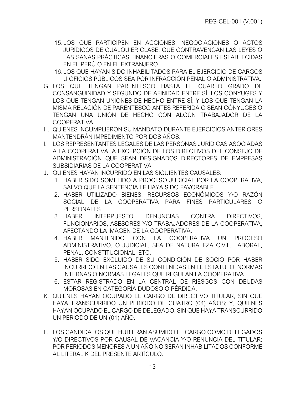- 15.LOS QUE PARTICIPEN EN ACCIONES, NEGOCIACIONES O ACTOS JURÍDICOS DE CUALQUIER CLASE, QUE CONTRAVENGAN LAS LEYES O LAS SANAS PRÁCTICAS FINANCIERAS O COMERCIALES ESTABLECIDAS EN EL PERÚ O EN EL EXTRANJERO.
- 16.LOS QUE HAYAN SIDO INHABILITADOS PARA EL EJERCICIO DE CARGOS U OFICIOS PÚBLICOS SEA POR INFRACCIÓN PENAL O ADMINISTRATIVA.
- G. LOS QUE TENGAN PARENTESCO HASTA EL CUARTO GRADO DE CONSANGUINIDAD Y SEGUNDO DE AFINIDAD ENTRE SÍ, LOS CÓNYUGES Y LOS QUE TENGAN UNIONES DE HECHO ENTRE SÍ; Y LOS QUE TENGAN LA MISMA RELACIÓN DE PARENTESCO ANTES REFERIDA O SEAN CÓNYUGES O TENGAN UNA UNIÓN DE HECHO CON ALGÚN TRABAJADOR DE LA COOPERATIVA.
- H. QUIENES INCUMPLIERON SU MANDATO DURANTE EJERCICIOS ANTERIORES MANTENDRÁN IMPEDIMENTO POR DOS AÑOS.
- I. LOS REPRESENTANTES LEGALES DE LAS PERSONAS JURÍDICAS ASOCIADAS A LA COOPERATIVA, A EXCEPCIÓN DE LOS DIRECTIVOS DEL CONSEJO DE ADMINISTRACIÓN QUE SEAN DESIGNADOS DIRECTORES DE EMPRESAS SUBSIDIARIAS DE LA COOPERATIVA
- J. QUIENES HAYAN INCURRIDO EN LAS SIGUIENTES CAUSALES:
	- 1. HABER SIDO SOMETIDO A PROCESO JUDICIAL POR LA COOPERATIVA, SALVO QUE LA SENTENCIA LE HAYA SIDO FAVORABLE.
	- 2. HABER UTILIZADO BIENES, RECURSOS ECONÓMICOS Y/O RAZÓN SOCIAL DE LA COOPERATIVA PARA FINES PARTICULARES O PERSONALES.
	- 3. HABER INTERPUESTO DENUNCIAS CONTRA DIRECTIVOS, FUNCIONARIOS, ASESORES Y/O TRABAJADORES DE LA COOPERATIVA, AFECTANDO LA IMAGEN DE LA COOPERATIVA.
	- 4. HABER MANTENIDO CON LA COOPERATIVA UN PROCESO ADMINISTRATIVO, O JUDICIAL, SEA DE NATURALEZA CIVIL, LABORAL, PENAL, CONSTITUCIONAL, ETC.
	- 5. HABER SIDO EXCLUIDO DE SU CONDICIÓN DE SOCIO POR HABER INCURRIDO EN LAS CAUSALES CONTENIDAS EN EL ESTATUTO, NORMAS INTERNAS O NORMAS LEGALES QUE REGULAN LA COOPERATIVA.
	- 6. ESTAR REGISTRADO EN LA CENTRAL DE RIESGOS CON DEUDAS MOROSAS EN CATEGORÍA DUDOSO O PÉRDIDA.
- K. QUIENES HAYAN OCUPADO EL CARGO DE DIRECTIVO TITULAR, SIN QUE HAYA TRANSCURRIDO UN PERIODO DE CUATRO (04) AÑOS; Y, QUIENES HAYAN OCUPADO EL CARGO DE DELEGADO, SIN QUE HAYA TRANSCURRIDO UN PERIODO DE UN (01) AÑO.
- L. LOS CANDIDATOS QUE HUBIERAN ASUMIDO EL CARGO COMO DELEGADOS Y/O DIRECTIVOS POR CAUSAL DE VACANCIA Y/O RENUNCIA DEL TITULAR; POR PERIODOS MENORES A UN AÑO NO SERAN INHABILITADOS CONFORME AL LITERAL K DEL PRESENTE ARTÍCULO.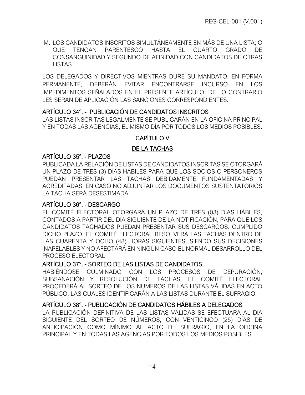M. LOS CANDIDATOS INSCRITOS SIMULTÁNEAMENTE EN MÁS DE UNA LISTA; O QUE TENGAN PARENTESCO HASTA EL CUARTO GRADO DE CONSANGUINIDAD Y SEGUNDO DE AFINIDAD CON CANDIDATOS DE OTRAS LISTAS.

LOS DELEGADOS Y DIRECTIVOS MIENTRAS DURE SU MANDATO, EN FORMA PERMANENTE, DEBERÁN EVITAR ENCONTRARSE INCURSO EN LOS IMPEDIMENTOS SEÑALADOS EN EL PRESENTE ARTÍCULO, DE LO CONTRARIO LES SERAN DE APLICACIÓN LAS SANCIONES CORRESPONDIENTES.

#### ARTÍCULO 34°. - PUBLICACIÓN DE CANDIDATOS INSCRITOS

<span id="page-21-0"></span>LAS LISTAS INSCRITAS LEGALMENTE SE PUBLICARÁN EN LA OFICINA PRINCIPAL Y EN TODAS LAS AGENCIAS, EL MISMO DÍA POR TODOS LOS MEDIOS POSIBLES.

# CAPÍTULO V

## DE LA TACHAS

## ARTÍCULO 35°. - PLAZOS

<span id="page-21-3"></span><span id="page-21-2"></span><span id="page-21-1"></span>PUBLICADA LA RELACIÓN DE LISTAS DE CANDIDATOS INSCRITAS SE OTORGARÁ UN PLAZO DE TRES (3) DÍAS HÁBILES PARA QUE LOS SOCIOS O PERSONEROS PUEDAN PRESENTAR LAS TACHAS DEBIDAMENTE FUNDAMENTADAS Y ACREDITADAS. EN CASO NO ADJUNTAR LOS DOCUMENTOS SUSTENTATORIOS LA TACHA SERÁ DESESTIMADA.

# ARTÍCULO 36°. - DESCARGO

<span id="page-21-4"></span>EL COMITÉ ELECTORAL OTORGARÁ UN PLAZO DE TRES (03) DÍAS HÁBILES, CONTADOS A PARTIR DEL DÍA SIGUIENTE DE LA NOTIFICACIÓN, PARA QUE LOS CANDIDATOS TACHADOS PUEDAN PRESENTAR SUS DESCARGOS. CUMPLIDO DICHO PLAZO, EL COMITÉ ELECTORAL RESOLVERÁ LAS TACHAS DENTRO DE LAS CUARENTA Y OCHO (48) HORAS SIGUIENTES, SIENDO SUS DECISIONES INAPELABLES Y NO AFECTARÁ EN NINGÚN CASO EL NORMAL DESARROLLO DEL PROCESO ELECTORAL.

# ARTÍCULO 37°. - SORTEO DE LAS LISTAS DE CANDIDATOS

<span id="page-21-5"></span>HABIÉNDOSE CULMINADO CON LOS PROCESOS DE DEPURACIÓN, SUBSANACIÓN Y RESOLUCIÓN DE TACHAS, EL COMITÉ ELECTORAL PROCEDERÁ AL SORTEO DE LOS NÚMEROS DE LAS LISTAS VÁLIDAS EN ACTO PÚBLICO, LAS CUALES IDENTIFICARÁN A LAS LISTAS DURANTE EL SUFRAGIO.

# ARTÍCULO 38°. - PUBLICACIÓN DE CANDIDATOS HÁBILES A DELEGADOS

<span id="page-21-6"></span>LA PUBLICACIÓN DEFINITIVA DE LAS LISTAS VALIDAS SE EFECTUARÁ AL DÍA SIGUIENTE DEL SORTEO DE NÚMEROS, CON VENTICINCO (25) DÍAS DE ANTICIPACIÓN COMO MÍNIMO AL ACTO DE SUFRAGIO, EN LA OFICINA PRINCIPAL Y EN TODAS LAS AGENCIAS POR TODOS LOS MEDIOS POSIBLES.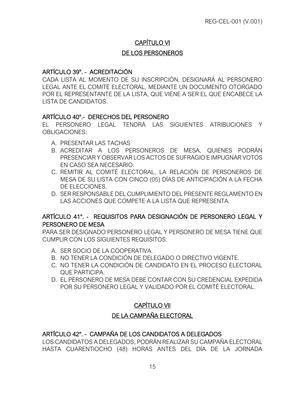# CAPÍTULO VI

## DE LOS PERSONEROS

#### <span id="page-22-1"></span><span id="page-22-0"></span>ARTÍCULO 39°. - ACREDITACIÓN

<span id="page-22-2"></span>CADA LISTA AL MOMENTO DE SU INSCRIPCIÓN, DESIGNARÁ AL PERSONERO LEGAL ANTE EL COMITÉ ELECTORAL, MEDIANTE UN DOCUMENTO OTORGADO POR EL REPRESENTANTE DE LA LISTA, QUE VIENE A SER EL QUE ENCABECE LA LISTA DE CANDIDATOS.

#### ARTÍCULO 40°.- DERECHOS DEL PERSONERO

EL PERSONERO LEGAL TENDRÁ LAS SIGUIENTES ATRIBUCIONES Y OBLIGACIONES:

- <span id="page-22-3"></span>A. PRESENTAR LAS TACHAS
- B. ACREDITAR A LOS PERSONEROS DE MESA, QUIENES PODRÁN PRESENCIAR Y OBSERVAR LOS ACTOS DE SUFRAGIO E IMPUGNAR VOTOS EN CASO SEA NECESARIO.
- C. REMITIR AL COMITÉ ELECTORAL, LA RELACIÓN DE PERSONEROS DE MESA DE SU LISTA CON CINCO (05) DÍAS DE ANTICIPACIÓN A LA FECHA DE ELECCIONES.
- D. SER RESPONSABLE DEL CUMPLIMIENTO DEL PRESENTE REGLAMENTO EN LAS ACCIONES QUE COMPETE A LA LISTA QUE REPRESENTA.

# ARTÍCULO 41°. - REQUISITOS PARA DESIGNACIÓN DE PERSONERO LEGAL Y PERSONERO DE MESA

<span id="page-22-4"></span>PARA SER DESIGNADO PERSONERO LEGAL Y PERSONERO DE MESA TIENE QUE CUMPLIR CON LOS SIGUIENTES REQUISITOS:

- A. SER SOCIO DE LA COOPERATIVA.
- B. NO TENER LA CONDICIÓN DE DELEGADO O DIRECTIVO VIGENTE.
- C. NO TENER LA CONDICIÓN DE CANDIDATO EN EL PROCESO ELECTORAL QUE PARTICIPA.
- D. EL PERSONERO DE MESA DEBE CONTAR CON SU CREDENCIAL EXPEDIDA POR SU PERSONERO LEGAL Y VALIDADO POR EL COMITÉ ELECTORAL.

# CAPÍTULO VII

# DE LA CAMPAÑA ELECTORAL

# <span id="page-22-6"></span><span id="page-22-5"></span>ARTÍCULO 42°. - CAMPAÑA DE LOS CANDIDATOS A DELEGADOS

<span id="page-22-7"></span>LOS CANDIDATOS A DELEGADOS, PODRÁN REALIZAR SU CAMPAÑA ELECTORAL HASTA CUARENTIOCHO (48) HORAS ANTES DEL DÍA DE LA JORNADA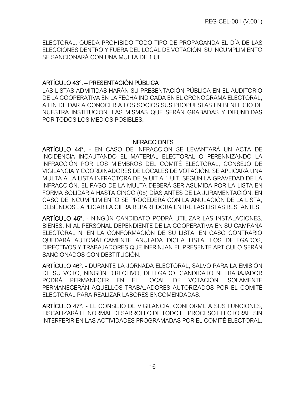ELECTORAL. QUEDA PROHIBIDO TODO TIPO DE PROPAGANDA EL DÍA DE LAS ELECCIONES DENTRO Y FUERA DEL LOCAL DE VOTACIÓN. SU INCUMPLIMIENTO SE SANCIONARÁ CON UNA MULTA DE 1 UIT.

# ARTÍCULO 43°. – PRESENTACIÓN PÚBLICA

<span id="page-23-0"></span>LAS LISTAS ADMITIDAS HARÁN SU PRESENTACIÓN PÚBLICA EN EL AUDITORIO DE LA COOPERATIVA EN LA FECHA INDICADA EN EL CRONOGRAMA ELECTORAL, A FIN DE DAR A CONOCER A LOS SOCIOS SUS PROPUESTAS EN BENEFICIO DE NUESTRA INSTITUCIÓN. LAS MISMAS QUE SERÁN GRABADAS Y DIFUNDIDAS POR TODOS LOS MEDIOS POSIBLES.

#### INFRACCIONES

<span id="page-23-2"></span><span id="page-23-1"></span>ARTÍCULO 44°. - EN CASO DE INFRACCIÓN SE LEVANTARÁ UN ACTA DE INCIDENCIA INCAUTANDO EL MATERIAL ELECTORAL O PERENNIZANDO LA INFRACCIÓN POR LOS MIEMBROS DEL COMITÉ ELECTORAL, CONSEJO DE VIGILANCIA Y COORDINADORES DE LOCALES DE VOTACIÓN. SE APLICARÁ UNA MULTA A LA LISTA INFRACTORA DE ½ UIT A 1 UIT, SEGÚN LA GRAVEDAD DE LA INFRACCIÓN. EL PAGO DE LA MULTA DEBERÁ SER ASUMIDA POR LA LISTA EN FORMA SOLIDARIA HASTA CINCO (05) DÍAS ANTES DE LA JURAMENTACIÓN. EN CASO DE INCUMPLIMIENTO SE PROCEDERÁ CON LA ANULACIÓN DE LA LISTA, DEBIÉNDOSE APLICAR LA CIFRA REPARTIDORA ENTRE LAS LISTAS RESTANTES.

ARTÍCULO 45°. - NINGÚN CANDIDATO PODRÁ UTILIZAR LAS INSTALACIONES, BIENES, NI AL PERSONAL DEPENDIENTE DE LA COOPERATIVA EN SU CAMPAÑA ELECTORAL NI EN LA CONFORMACIÓN DE SU LISTA. EN CASO CONTRARIO QUEDARÁ AUTOMÁTICAMENTE ANULADA DICHA LISTA. LOS DELEGADOS, DIRECTIVOS Y TRABAJADORES QUE INFRINJAN EL PRESENTE ARTÍCULO SERÁN SANCIONADOS CON DESTITUCIÓN.

<span id="page-23-3"></span>ARTÍCULO 46°. - DURANTE LA JORNADA ELECTORAL, SALVO PARA LA EMISIÓN DE SU VOTO, NINGÚN DIRECTIVO, DELEGADO, CANDIDATO NI TRABAJADOR PODRÁ PERMANECER EN EL LOCAL DE VOTACIÓN. SOLAMENTE PERMANECERÁN AQUELLOS TRABAJADORES AUTORIZADOS POR EL COMITÉ ELECTORAL PARA REALIZAR LABORES ENCOMENDADAS.

<span id="page-23-5"></span><span id="page-23-4"></span>ARTÍCULO 47°. - EL CONSEJO DE VIGILANCIA, CONFORME A SUS FUNCIONES, FISCALIZARÁ EL NORMAL DESARROLLO DE TODO EL PROCESO ELECTORAL, SIN INTERFERIR EN LAS ACTIVIDADES PROGRAMADAS POR EL COMITÉ ELECTORAL.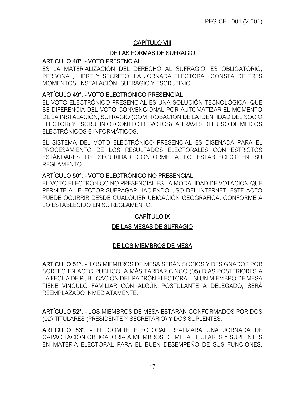# CAPÍTULO VIII

# DE LAS FORMAS DE SUFRAGIO

## ARTÍCULO 48°. - VOTO PRESENCIAL

<span id="page-24-1"></span><span id="page-24-0"></span>ES LA MATERIALIZACIÓN DEL DERECHO AL SUFRAGIO. ES OBLIGATORIO, PERSONAL, LIBRE Y SECRETO. LA JORNADA ELECTORAL CONSTA DE TRES MOMENTOS: INSTALACIÓN, SUFRAGIO Y ESCRUTINIO.

#### <span id="page-24-2"></span>ARTÍCULO 49°. - VOTO ELECTRÓNICO PRESENCIAL

<span id="page-24-3"></span>EL VOTO ELECTRÓNICO PRESENCIAL ES UNA SOLUCIÓN TECNOLÓGICA, QUE SE DIFERENCIA DEL VOTO CONVENCIONAL POR AUTOMATIZAR EL MOMENTO DE LA INSTALACIÓN, SUFRAGIO (COMPROBACIÓN DE LA IDENTIDAD DEL SOCIO ELECTOR) Y ESCRUTINIO (CONTEO DE VOTOS), A TRAVÉS DEL USO DE MEDIOS ELECTRÓNICOS E INFORMÁTICOS.

EL SISTEMA DEL VOTO ELECTRÓNICO PRESENCIAL ES DISEÑADA PARA EL PROCESAMIENTO DE LOS RESULTADOS ELECTORALES CON ESTRICTOS ESTÁNDARES DE SEGURIDAD CONFORME A LO ESTABLECIDO EN SU REGLAMENTO.

#### ARTÍCULO 50°. - VOTO ELECTRÓNICO NO PRESENCIAL

<span id="page-24-4"></span>EL VOTO ELECTRÓNICO NO PRESENCIAL ES LA MODALIDAD DE VOTACIÓN QUE PERMITE AL ELECTOR SUFRAGAR HACIENDO USO DEL INTERNET. ESTE ACTO PUEDE OCURRIR DESDE CUALQUIER UBICACIÓN GEOGRÁFICA. CONFORME A LO ESTABLECIDO EN SU REGLAMENTO.

# CAPÍTULO IX

#### DE LAS MESAS DE SUFRAGIO

#### DE LOS MIEMBROS DE MESA

<span id="page-24-7"></span><span id="page-24-6"></span><span id="page-24-5"></span>ARTÍCULO 51°. - LOS MIEMBROS DE MESA SERÁN SOCIOS Y DESIGNADOS POR SORTEO EN ACTO PÚBLICO, A MÁS TARDAR CINCO (05) DÍAS POSTERIORES A LA FECHA DE PUBLICACIÓN DEL PADRÓN ELECTORAL. SI UN MIEMBRO DE MESA TIENE VÍNCULO FAMILIAR CON ALGÚN POSTULANTE A DELEGADO, SERÁ REEMPLAZADO INMEDIATAMENTE.

<span id="page-24-8"></span>ARTÍCULO 52°. - LOS MIEMBROS DE MESA ESTARÁN CONFORMADOS POR DOS (02) TITULARES (PRESIDENTE Y SECRETARIO) Y DOS SUPLENTES.

<span id="page-24-10"></span><span id="page-24-9"></span>ARTÍCULO 53°. - EL COMITÉ ELECTORAL REALIZARÁ UNA JORNADA DE CAPACITACIÓN OBLIGATORIA A MIEMBROS DE MESA TITULARES Y SUPLENTES EN MATERIA ELECTORAL PARA EL BUEN DESEMPEÑO DE SUS FUNCIONES,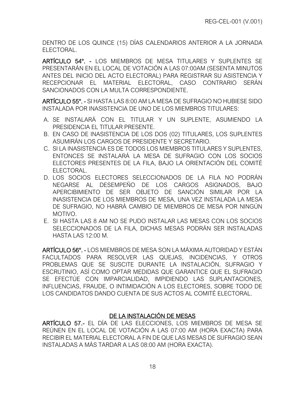DENTRO DE LOS QUINCE (15) DÍAS CALENDARIOS ANTERIOR A LA JORNADA ELECTORAL.

ARTÍCULO 54°. - LOS MIEMBROS DE MESA TITULARES Y SUPLENTES SE PRESENTARÁN EN EL LOCAL DE VOTACIÓN A LAS 07:00AM (SESENTA MINUTOS ANTES DEL INICIO DEL ACTO ELECTORAL) PARA REGISTRAR SU ASISTENCIA Y RECEPCIONAR EL MATERIAL ELECTORAL, CASO CONTRARIO SERÁN SANCIONADOS CON LA MULTA CORRESPONDIENTE.

<span id="page-25-0"></span>ARTÍCULO 55°. - SI HASTA LAS 8:00 AM LA MESA DE SUFRAGIO NO HUBIESE SIDO INSTALADA POR INASISTENCIA DE UNO DE LOS MIEMBROS TITULARES:

- <span id="page-25-1"></span>A. SE INSTALARÁ CON EL TITULAR Y UN SUPLENTE, ASUMIENDO LA PRESIDENCIA EL TITULAR PRESENTE.
- B. EN CASO DE INASISTENCIA DE LOS DOS (02) TITULARES, LOS SUPLENTES ASUMIRÁN LOS CARGOS DE PRESIDENTE Y SECRETARIO.
- C. SI LA INASISTENCIA ES DE TODOS LOS MIEMBROS TITULARES Y SUPLENTES, ENTONCES SE INSTALARÁ LA MESA DE SUFRAGIO CON LOS SOCIOS ELECTORES PRESENTES DE LA FILA, BAJO LA ORIENTACIÓN DEL COMITÉ ELECTORAL.
- D. LOS SOCIOS ELECTORES SELECCIONADOS DE LA FILA NO PODRÁN NEGARSE AL DESEMPEÑO DE LOS CARGOS ASIGNADOS, BAJO APERCIBIMIENTO DE SER OBJETO DE SANCIÓN SIMILAR POR LA INASISTENCIA DE LOS MIEMBROS DE MESA, UNA VEZ INSTALADA LA MESA DE SUFRAGIO, NO HABRÁ CAMBIO DE MIEMBROS DE MESA POR NINGÚN MOTIVO.
- E. SI HASTA LAS 8 AM NO SE PUDO INSTALAR LAS MESAS CON LOS SOCIOS SELECCIONADOS DE LA FILA, DICHAS MESAS PODRÁN SER INSTALADAS HASTA LAS 12:00 M.

<span id="page-25-2"></span>ARTÍCULO 56°. - LOS MIEMBROS DE MESA SON LA MÁXIMA AUTORIDAD Y ESTÁN FACULTADOS PARA RESOLVER LAS QUEJAS, INCIDENCIAS, Y OTROS PROBLEMAS QUE SE SUSCITE DURANTE LA INSTALACIÓN, SUFRAGIO Y ESCRUTINIO, ASÍ COMO OPTAR MEDIDAS QUE GARANTICE QUE EL SUFRAGIO SE EFECTÚE CON IMPARCIALIDAD, IMPIDIENDO LAS SUPLANTACIONES, INFLUENCIAS, FRAUDE, O INTIMIDACIÓN A LOS ELECTORES, SOBRE TODO DE LOS CANDIDATOS DANDO CUENTA DE SUS ACTOS AL COMITÉ ELECTORAL.

# DE LA INSTALACIÓN DE MESAS

<span id="page-25-4"></span><span id="page-25-3"></span>ARTÍCULO 57.- EL DÍA DE LAS ELECCIONES, LOS MIEMBROS DE MESA SE REÚNEN EN EL LOCAL DE VOTACIÓN A LAS 07:00 AM (HORA EXACTA) PARA RECIBIR EL MATERIAL ELECTORAL A FIN DE QUE LAS MESAS DE SUFRAGIO SEAN INSTALADAS A MÁS TARDAR A LAS 08:00 AM (HORA EXACTA).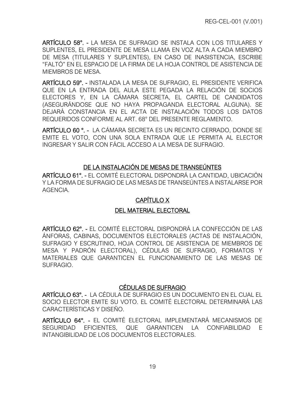ARTÍCULO 58°. - LA MESA DE SUFRAGIO SE INSTALA CON LOS TITULARES Y SUPLENTES, EL PRESIDENTE DE MESA LLAMA EN VOZ ALTA A CADA MIEMBRO DE MESA (TITULARES Y SUPLENTES), EN CASO DE INASISTENCIA, ESCRIBE "FALTÓ" EN EL ESPACIO DE LA FIRMA DE LA HOJA CONTROL DE ASISTENCIA DE MIEMBROS DE MESA.

<span id="page-26-0"></span>ARTÍCULO 59°. - INSTALADA LA MESA DE SUFRAGIO, EL PRESIDENTE VERIFICA QUE EN LA ENTRADA DEL AULA ESTE PEGADA LA RELACIÓN DE SOCIOS ELECTORES Y, EN LA CÁMARA SECRETA, EL CARTEL DE CANDIDATOS (ASEGURÁNDOSE QUE NO HAYA PROPAGANDA ELECTORAL ALGUNA). SE DEJARÁ CONSTANCIA EN EL ACTA DE INSTALACIÓN TODOS LOS DATOS REQUERIDOS CONFORME AL ART. 68° DEL PRESENTE REGLAMENTO.

<span id="page-26-1"></span>ARTÍCULO 60 °. - LA CÁMARA SECRETA ES UN RECINTO CERRADO, DONDE SE EMITE EL VOTO, CON UNA SOLA ENTRADA QUE LE PERMITA AL ELECTOR INGRESAR Y SALIR CON FÁCIL ACCESO A LA MESA DE SUFRAGIO.

## DE LA INSTALACIÓN DE MESAS DE TRANSEÚNTES

<span id="page-26-4"></span><span id="page-26-3"></span><span id="page-26-2"></span>ARTÍCULO 61°. - EL COMITÉ ELECTORAL DISPONDRÁ LA CANTIDAD, UBICACIÓN Y LA FORMA DE SUFRAGIO DE LAS MESAS DE TRANSEÚNTES A INSTALARSE POR AGENCIA.

# CAPÍTULO X

#### DEL MATERIAL ELECTORAL

<span id="page-26-7"></span><span id="page-26-6"></span><span id="page-26-5"></span>ARTÍCULO 62°. - EL COMITÉ ELECTORAL DISPONDRÁ LA CONFECCIÓN DE LAS ÁNFORAS, CABINAS, DOCUMENTOS ELECTORALES (ACTAS DE INSTALACIÓN, SUFRAGIO Y ESCRUTINIO, HOJA CONTROL DE ASISTENCIA DE MIEMBROS DE MESA Y PADRÓN ELECTORAL), CÉDULAS DE SUFRAGIO, FORMATOS Y MATERIALES QUE GARANTICEN EL FUNCIONAMIENTO DE LAS MESAS DE SUFRAGIO.

#### CÉDULAS DE SUFRAGIO

ARTÍCULO 63°. - LA CÉDULA DE SUFRAGIO ES UN DOCUMENTO EN EL CUAL EL SOCIO ELECTOR EMITE SU VOTO. EL COMITÉ ELECTORAL DETERMINARÁ LAS CARACTERÍSTICAS Y DISEÑO.

<span id="page-26-10"></span><span id="page-26-9"></span><span id="page-26-8"></span>ARTÍCULO 64°. - EL COMITÉ ELECTORAL IMPLEMENTARÁ MECANISMOS DE SEGURIDAD EFICIENTES, QUE GARANTICEN LA CONFIABILIDAD E INTANGIBILIDAD DE LOS DOCUMENTOS ELECTORALES.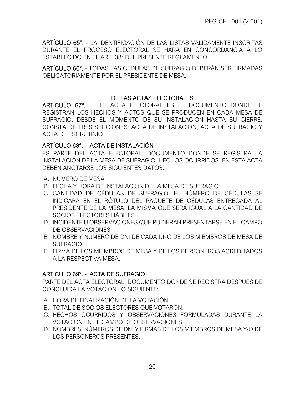ARTÍCULO 65°. - LA IDENTIFICACIÓN DE LAS LISTAS VÁLIDAMENTE INSCRITAS DURANTE EL PROCESO ELECTORAL SE HARÁ EN CONCORDANCIA A LO ESTABLECIDO EN EL ART. 38° DEL PRESENTE REGLAMENTO.

<span id="page-27-0"></span>ARTÍCULO 66°. - TODAS LAS CÉDULAS DE SUFRAGIO DEBERÁN SER FIRMADAS OBLIGATORIAMENTE POR EL PRESIDENTE DE MESA.

## DE LAS ACTAS ELECTORALES

<span id="page-27-2"></span><span id="page-27-1"></span>ARTÍCULO 67°. - EL ACTA ELECTORAL ES EL DOCUMENTO DONDE SE REGISTRAN LOS HECHOS Y ACTOS QUE SE PRODUCEN EN CADA MESA DE SUFRAGIO, DESDE EL MOMENTO DE SU INSTALACIÓN HASTA SU CIERRE. CONSTA DE TRES SECCIONES: ACTA DE INSTALACIÓN, ACTA DE SUFRAGIO Y ACTA DE ESCRUTINIO.

# <span id="page-27-3"></span>ARTÍCULO 68°. - ACTA DE INSTALACIÓN

ES PARTE DEL ACTA ELECTORAL, DOCUMENTO DONDE SE REGISTRA LA INSTALACIÓN DE LA MESA DE SUFRAGIO, HECHOS OCURRIDOS. EN ESTA ACTA DEBEN ANOTARSE LOS SIGUIENTES DATOS:

- <span id="page-27-4"></span>A. NÚMERO DE MESA
- B. FECHA Y HORA DE INSTALACIÓN DE LA MESA DE SUFRAGIO
- C. CANTIDAD DE CÉDULAS DE SUFRAGIO. EL NÚMERO DE CÉDULAS SE INDICARÁ EN EL RÓTULO DEL PAQUETE DE CÉDULAS ENTREGADA AL PRESIDENTE DE LA MESA, LA MISMA QUE SERÁ IGUAL A LA CANTIDAD DE SOCIOS ELECTORES HÁBILES.
- D. INCIDENTE U OBSERVACIONES QUE PUDIERAN PRESENTARSE EN EL CAMPO DE OBSERVACIONES.
- E. NOMBRE Y NÚMERO DE DNI DE CADA UNO DE LOS MIEMBROS DE MESA DE SUFRAGIO.
- F. FIRMA DE LOS MIEMBROS DE MESA Y DE LOS PERSONEROS ACREDITADOS A LA RESPECTIVA MESA.

# ARTÍCULO 69°. - ACTA DE SUFRAGIO

PARTE DEL ACTA ELECTORAL, DOCUMENTO DONDE SE REGISTRA DESPUÉS DE CONCLUIDA LA VOTACIÓN LO SIGUIENTE:

- <span id="page-27-5"></span>A. HORA DE FINALIZACIÓN DE LA VOTACIÓN.
- B. TOTAL DE SOCIOS ELECTORES QUE VOTARON.
- C. HECHOS OCURRIDOS Y OBSERVACIONES FORMULADAS DURANTE LA VOTACIÓN EN EL CAMPO DE OBSERVACIONES.
- D. NOMBRES, NÚMEROS DE DNI Y FIRMAS DE LOS MIEMBROS DE MESA Y/O DE LOS PERSONEROS PRESENTES.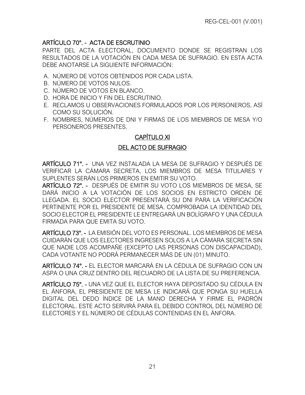# ARTÍCULO 70°. - ACTA DE ESCRUTINIO

PARTE DEL ACTA ELECTORAL, DOCUMENTO DONDE SE REGISTRAN LOS RESULTADOS DE LA VOTACIÓN EN CADA MESA DE SUFRAGIO. EN ESTA ACTA DEBE ANOTARSE LA SIGUIENTE INFORMACIÓN:

- <span id="page-28-0"></span>A. NÚMERO DE VOTOS OBTENIDOS POR CADA LISTA.
- B. NÚMERO DE VOTOS NULOS.
- C. NÚMERO DE VOTOS EN BLANCO.
- D. HORA DE INICIO Y FIN DEL ESCRUTINIO.
- E. RECLAMOS U OBSERVACIONES FORMULADOS POR LOS PERSONEROS, ASÍ COMO SU SOLUCIÓN.
- F. NOMBRES, NÚMEROS DE DNI Y FIRMAS DE LOS MIEMBROS DE MESA Y/O PERSONEROS PRESENTES.

#### CAPÍTULO XI

#### DEL ACTO DE SUFRAGIO

<span id="page-28-2"></span><span id="page-28-1"></span>ARTÍCULO 71°. - UNA VEZ INSTALADA LA MESA DE SUFRAGIO Y DESPUÉS DE VERIFICAR LA CÁMARA SECRETA, LOS MIEMBROS DE MESA TITULARES Y SUPLENTES SERÁN LOS PRIMEROS EN EMITIR SU VOTO.

<span id="page-28-3"></span>ARTÍCULO 72°. - DESPUÉS DE EMITIR SU VOTO LOS MIEMBROS DE MESA, SE DARÁ INICIO A LA VOTACIÓN DE LOS SOCIOS EN ESTRICTO ORDEN DE LLEGADA. EL SOCIO ELECTOR PRESENTARÁ SU DNI PARA LA VERIFICACIÓN PERTINENTE POR EL PRESIDENTE DE MESA. COMPROBADA LA IDENTIDAD DEL SOCIO ELECTOR EL PRESIDENTE LE ENTREGARÁ UN BOLÍGRAFO Y UNA CÉDULA FIRMADA PARA QUE EMITA SU VOTO.

<span id="page-28-4"></span>ARTÍCULO 73°. - LA EMISIÓN DEL VOTO ES PERSONAL. LOS MIEMBROS DE MESA CUIDARÁN QUE LOS ELECTORES INGRESEN SOLOS A LA CÁMARA SECRETA SIN QUE NADIE LOS ACOMPAÑE (EXCEPTO LAS PERSONAS CON DISCAPACIDAD), CADA VOTANTE NO PODRÁ PERMANECER MÁS DE UN (01) MINUTO.

<span id="page-28-5"></span>ARTÍCULO 74°. - EL ELECTOR MARCARÁ EN LA CÉDULA DE SUFRAGIO CON UN ASPA O UNA CRUZ DENTRO DEL RECUADRO DE LA LISTA DE SU PREFERENCIA.

<span id="page-28-7"></span><span id="page-28-6"></span>ARTÍCULO 75°. - UNA VEZ QUE EL ELECTOR HAYA DEPOSITADO SU CÉDULA EN EL ÁNFORA, EL PRESIDENTE DE MESA LE INDICARÁ QUE PONGA SU HUELLA DIGITAL DEL DEDO ÍNDICE DE LA MANO DERECHA Y FIRME EL PADRÓN ELECTORAL. ESTE ACTO SERVIRÁ PARA EL DEBIDO CONTROL DEL NÚMERO DE ELECTORES Y EL NÚMERO DE CÉDULAS CONTENIDAS EN EL ÁNFORA.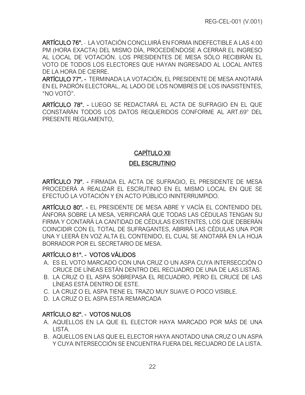ARTÍCULO 76°. - LA VOTACIÓN CONCLUIRÁ EN FORMA INDEFECTIBLE A LAS 4:00 PM (HORA EXACTA) DEL MISMO DÍA, PROCEDIÉNDOSE A CERRAR EL INGRESO AL LOCAL DE VOTACIÓN. LOS PRESIDENTES DE MESA SÓLO RECIBIRÁN EL VOTO DE TODOS LOS ELECTORES QUE HAYAN INGRESADO AL LOCAL ANTES DE LA HORA DE CIERRE.

<span id="page-29-0"></span>ARTÍCULO 77°. - TERMINADA LA VOTACIÓN, EL PRESIDENTE DE MESA ANOTARÁ EN EL PADRÓN ELECTORAL, AL LADO DE LOS NOMBRES DE LOS INASISTENTES, "NO VOTÓ".

<span id="page-29-2"></span><span id="page-29-1"></span>ARTÍCULO 78°. - LUEGO SE REDACTARÁ EL ACTA DE SUFRAGIO EN EL QUE CONSTARÁN TODOS LOS DATOS REQUERIDOS CONFORME AL ART.69° DEL PRESENTE REGLAMENTO.

# CAPÍTULO XII

# DEL ESCRUTINIO

<span id="page-29-4"></span><span id="page-29-3"></span>ARTÍCULO 79°. - FIRMADA EL ACTA DE SUFRAGIO, EL PRESIDENTE DE MESA PROCEDERÁ A REALIZAR EL ESCRUTINIO EN EL MISMO LOCAL EN QUE SE EFECTUÓ LA VOTACIÓN Y EN ACTO PÚBLICO ININTERRUMPIDO.

<span id="page-29-5"></span>ARTÍCULO 80°. - EL PRESIDENTE DE MESA ABRE Y VACÍA EL CONTENIDO DEL ÁNFORA SOBRE LA MESA, VERIFICARÁ QUE TODAS LAS CÉDULAS TENGAN SU FIRMA Y CONTARÁ LA CANTIDAD DE CÉDULAS EXISTENTES, LOS QUE DEBERÁN COINCIDIR CON EL TOTAL DE SUFRAGANTES, ABRIRÁ LAS CÉDULAS UNA POR UNA Y LEERÁ EN VOZ ALTA EL CONTENIDO, EL CUAL SE ANOTARÁ EN LA HOJA BORRADOR POR EL SECRETARIO DE MESA.

# <span id="page-29-6"></span>ARTÍCULO 81°. - VOTOS VÁLIDOS

- A. ES EL VOTO MARCADO CON UNA CRUZ O UN ASPA CUYA INTERSECCIÓN O CRUCE DE LÍNEAS ESTÁN DENTRO DEL RECUADRO DE UNA DE LAS LISTAS.
- <span id="page-29-7"></span>B. LA CRUZ O EL ASPA SOBREPASA EL RECUADRO, PERO EL CRUCE DE LAS LÍNEAS ESTÁ DENTRO DE ESTE.
- C. LA CRUZ O EL ASPA TIENE EL TRAZO MUY SUAVE O POCO VISIBLE.
- D. LA CRUZ O EL ASPA ESTA REMARCADA

# ARTÍCULO 82°. - VOTOS NULOS

- A. AQUELLOS EN LA QUE EL ELECTOR HAYA MARCADO POR MÁS DE UNA LISTA.
- <span id="page-29-8"></span>B. AQUELLOS EN LAS QUE EL ELECTOR HAYA ANOTADO UNA CRUZ O UN ASPA Y CUYA INTERSECCIÓN SE ENCUENTRA FUERA DEL RECUADRO DE LA LISTA.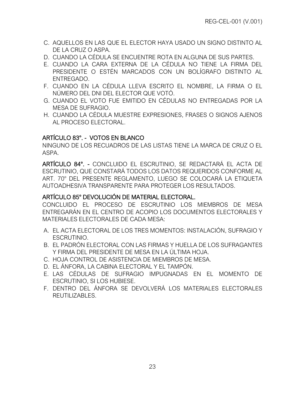- C. AQUELLOS EN LAS QUE EL ELECTOR HAYA USADO UN SIGNO DISTINTO AL DE LA CRUZ O ASPA.
- D. CUANDO LA CÉDULA SE ENCUENTRE ROTA EN ALGUNA DE SUS PARTES.
- E. CUANDO LA CARA EXTERNA DE LA CÉDULA NO TIENE LA FIRMA DEL PRESIDENTE O ESTÉN MARCADOS CON UN BOLÍGRAFO DISTINTO AL ENTREGADO.
- F. CUANDO EN LA CÉDULA LLEVA ESCRITO EL NOMBRE, LA FIRMA O EL NÚMERO DEL DNI DEL ELECTOR QUE VOTÓ.
- G. CUANDO EL VOTO FUE EMITIDO EN CÉDULAS NO ENTREGADAS POR LA MESA DE SUFRAGIO.
- H. CUANDO LA CÉDULA MUESTRE EXPRESIONES, FRASES O SIGNOS AJENOS AL PROCESO ELECTORAL.

# ARTÍCULO 83°. - VOTOS EN BLANCO

NINGUNO DE LOS RECUADROS DE LAS LISTAS TIENE LA MARCA DE CRUZ O EL ASPA.

<span id="page-30-0"></span>ARTÍCULO 84°. - CONCLUIDO EL ESCRUTINIO, SE REDACTARÁ EL ACTA DE ESCRUTINIO, QUE CONSTARÁ TODOS LOS DATOS REQUERIDOS CONFORME AL ART. 70° DEL PRESENTE REGLAMENTO, LUEGO SE COLOCARÁ LA ETIQUETA AUTOADHESIVA TRANSPARENTE PARA PROTEGER LOS RESULTADOS.

## <span id="page-30-1"></span>ARTÍCULO 85° DEVOLUCIÓN DE MATERIAL ELECTORAL.

CONCLUIDO EL PROCESO DE ESCRUTINIO LOS MIEMBROS DE MESA ENTREGARÁN EN EL CENTRO DE ACOPIO LOS DOCUMENTOS ELECTORALES Y MATERIALES ELECTORALES DE CADA MESA:

- <span id="page-30-2"></span>A. EL ACTA ELECTORAL DE LOS TRES MOMENTOS: INSTALACIÓN, SUFRAGIO Y ESCRUTINIO.
- B. EL PADRÓN ELECTORAL CON LAS FIRMAS Y HUELLA DE LOS SUFRAGANTES Y FIRMA DEL PRESIDENTE DE MESA EN LA ÚLTIMA HOJA.
- C. HOJA CONTROL DE ASISTENCIA DE MIEMBROS DE MESA.
- D. EL ÁNFORA, LA CABINA ELECTORAL Y EL TAMPÓN.
- E. LAS CÉDULAS DE SUFRAGIO IMPUGNADAS EN EL MOMENTO DE ESCRUTINIO, SI LOS HUBIESE.
- F. DENTRO DEL ÁNFORA SE DEVOLVERÁ LOS MATERIALES ELECTORALES REUTILIZABLES.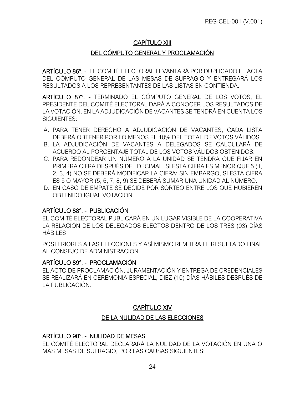# CAPÍTULO XIII

# DEL CÓMPUTO GENERAL Y PROCLAMACIÓN

<span id="page-31-1"></span><span id="page-31-0"></span>ARTÍCULO 86°. - EL COMITÉ ELECTORAL LEVANTARÁ POR DUPLICADO EL ACTA DEL CÓMPUTO GENERAL DE LAS MESAS DE SUFRAGIO Y ENTREGARÁ LOS RESULTADOS A LOS REPRESENTANTES DE LAS LISTAS EN CONTIENDA.

<span id="page-31-2"></span>ARTÍCULO 87°. - TERMINADO EL CÓMPUTO GENERAL DE LOS VOTOS, EL PRESIDENTE DEL COMITÉ ELECTORAL DARÁ A CONOCER LOS RESULTADOS DE LA VOTACIÓN. EN LA ADJUDICACIÓN DE VACANTES SE TENDRÁ EN CUENTA LOS SIGUIENTES:

- <span id="page-31-3"></span>A. PARA TENER DERECHO A ADJUDICACIÓN DE VACANTES, CADA LISTA DEBERÁ OBTENER POR LO MENOS EL 10% DEL TOTAL DE VOTOS VÁLIDOS.
- B. LA ADJUDICACIÓN DE VACANTES A DELEGADOS SE CALCULARÁ DE ACUERDO AL PORCENTAJE TOTAL DE LOS VOTOS VÁLIDOS OBTENIDOS.
- C. PARA REDONDEAR UN NÚMERO A LA UNIDAD SE TENDRÁ QUE FIJAR EN PRIMERA CIFRA DESPUÉS DEL DECIMAL. SI ESTA CIFRA ES MENOR QUE 5 (1, 2, 3, 4) NO SE DEBERÁ MODIFICAR LA CIFRA; SIN EMBARGO, SI ESTA CIFRA ES 5 O MAYOR (5, 6, 7, 8, 9) SE DEBERÁ SUMAR UNA UNIDAD AL NÚMERO.
- D. EN CASO DE EMPATE SE DECIDE POR SORTEO ENTRE LOS QUE HUBIEREN OBTENIDO IGUAL VOTACIÓN.

#### ARTÍCULO 88°. - PUBLICACIÓN

EL COMITÉ ELECTORAL PUBLICARÁ EN UN LUGAR VISIBLE DE LA COOPERATIVA LA RELACIÓN DE LOS DELEGADOS ELECTOS DENTRO DE LOS TRES (03) DÍAS HÁBILES

<span id="page-31-4"></span>POSTERIORES A LAS ELECCIONES Y ASÍ MISMO REMITIRÁ EL RESULTADO FINAL AL CONSEJO DE ADMINISTRACIÓN.

#### ARTÍCULO 89°. - PROCLAMACIÓN

<span id="page-31-5"></span>EL ACTO DE PROCLAMACIÓN, JURAMENTACIÓN Y ENTREGA DE CREDENCIALES SE REALIZARÁ EN CEREMONIA ESPECIAL, DIEZ (10) DÍAS HÁBILES DESPUÉS DE LA PUBLICACIÓN.

# CAPÍTULO XIV

#### DE LA NULIDAD DE LAS ELECCIONES

#### <span id="page-31-7"></span><span id="page-31-6"></span>ARTÍCULO 90°. - NULIDAD DE MESAS

<span id="page-31-8"></span>EL COMITÉ ELECTORAL DECLARARÁ LA NULIDAD DE LA VOTACIÓN EN UNA O MÁS MESAS DE SUFRAGIO, POR LAS CAUSAS SIGUIENTES: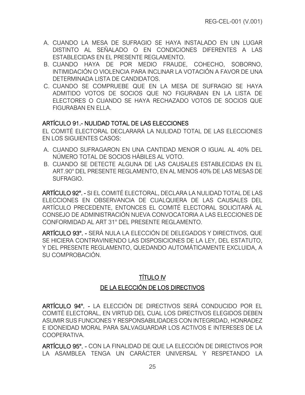- A. CUANDO LA MESA DE SUFRAGIO SE HAYA INSTALADO EN UN LUGAR DISTINTO AL SEÑALADO O EN CONDICIONES DIFERENTES A LAS ESTABLECIDAS EN EL PRESENTE REGLAMENTO.
- B. CUANDO HAYA DE POR MEDIO FRAUDE, COHECHO, SOBORNO, INTIMIDACIÓN O VIOLENCIA PARA INCLINAR LA VOTACIÓN A FAVOR DE UNA DETERMINADA LISTA DE CANDIDATOS.
- C. CUANDO SE COMPRUEBE QUE EN LA MESA DE SUFRAGIO SE HAYA ADMITIDO VOTOS DE SOCIOS QUE NO FIGURABAN EN LA LISTA DE ELECTORES O CUANDO SE HAYA RECHAZADO VOTOS DE SOCIOS QUE FIGURABAN EN ELLA.

## ARTÍCULO 91.- NULIDAD TOTAL DE LAS ELECCIONES

EL COMITÉ ELECTORAL DECLARARÁ LA NULIDAD TOTAL DE LAS ELECCIONES EN LOS SIGUIENTES CASOS:

- <span id="page-32-0"></span>A. CUANDO SUFRAGARON EN UNA CANTIDAD MENOR O IGUAL AL 40% DEL NÚMERO TOTAL DE SOCIOS HÁBILES AL VOTO.
- B. CUANDO SE DETECTE ALGUNA DE LAS CAUSALES ESTABLECIDAS EN EL ART.90° DEL PRESENTE REGLAMENTO, EN AL MENOS 40% DE LAS MESAS DE SUFRAGIO.

ARTÍCULO 92°. - SI EL COMITÉ ELECTORAL, DECLARA LA NULIDAD TOTAL DE LAS ELECCIONES EN OBSERVANCIA DE CUALQUIERA DE LAS CAUSALES DEL ARTÍCULO PRECEDENTE, ENTONCES EL COMITÉ ELECTORAL SOLICITARÁ AL CONSEJO DE ADMINISTRACIÓN NUEVA CONVOCATORIA A LAS ELECCIONES DE CONFORMIDAD AL ART 31° DEL PRESENTE REGLAMENTO.

<span id="page-32-2"></span><span id="page-32-1"></span>ARTÍCULO 93°. - SERÁ NULA LA ELECCIÓN DE DELEGADOS Y DIRECTIVOS, QUE SE HICIERA CONTRAVINIENDO LAS DISPOSICIONES DE LA LEY, DEL ESTATUTO, Y DEL PRESENTE REGLAMENTO, QUEDANDO AUTOMÁTICAMENTE EXCLUIDA, A SU COMPROBACIÓN.

# TÍTULO IV DE LA ELECCIÓN DE LOS DIRECTIVOS

<span id="page-32-4"></span><span id="page-32-3"></span>ARTÍCULO 94°. - LA ELECCIÓN DE DIRECTIVOS SERÁ CONDUCIDO POR EL COMITÉ ELECTORAL, EN VIRTUD DEL CUAL LOS DIRECTIVOS ELEGIDOS DEBEN ASUMIR SUS FUNCIONES Y RESPONSABILIDADES CON INTEGRIDAD, HONRADEZ E IDONEIDAD MORAL PARA SALVAGUARDAR LOS ACTIVOS E INTERESES DE LA COOPERATIVA.

<span id="page-32-6"></span><span id="page-32-5"></span>ARTÍCULO 95°. - CON LA FINALIDAD DE QUE LA ELECCIÓN DE DIRECTIVOS POR LA ASAMBLEA TENGA UN CARÁCTER UNIVERSAL Y RESPETANDO LA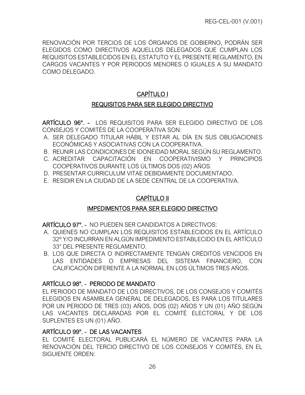RENOVACIÓN POR TERCIOS DE LOS ÓRGANOS DE GOBIERNO, PODRÁN SER ELEGIDOS COMO DIRECTIVOS AQUELLOS DELEGADOS QUE CUMPLAN LOS REQUISITOS ESTABLECIDOS EN EL ESTATUTO Y EL PRESENTE REGLAMENTO, EN CARGOS VACANTES Y POR PERIODOS MENORES O IGUALES A SU MANDATO COMO DELEGADO.

# CAPÍTULO I

# REQUISITOS PARA SER ELEGIDO DIRECTIVO

<span id="page-33-1"></span><span id="page-33-0"></span>ARTÍCULO 96°. - LOS REQUISITOS PARA SER ELEGIDO DIRECTIVO DE LOS CONSEJOS Y COMITÉS DE LA COOPERATIVA SON:

- A. SER DELEGADO TITULAR HÁBIL Y ESTAR AL DÍA EN SUS OBLIGACIONES ECONÓMICAS Y ASOCIATIVAS CON LA COOPERATIVA.
- <span id="page-33-2"></span>B. REUNIR LAS CONDICIONES DE IDONEIDAD MORAL SEGÚN SU REGLAMENTO.
- C. ACREDITAR CAPACITACIÓN EN COOPERATIVISMO Y PRINCIPIOS COOPERATIVOS DURANTE LOS ÚLTIMOS DOS (02) AÑOS.
- D. PRESENTAR CURRICULUM VITAE DEBIDAMENTE DOCUMENTADO.
- E. RESIDIR EN LA CIUDAD DE LA SEDE CENTRAL DE LA COOPERATIVA.

# CAPÍTULO II

# IMPEDIMENTOS PARA SER ELEGIDO DIRECTIVO

<span id="page-33-3"></span>ARTÍCULO 97°. - NO PUEDEN SER CANDIDATOS A DIRECTIVOS:

- <span id="page-33-4"></span>A. QUIENES NO CUMPLAN LOS REQUISITOS ESTABLECIDOS EN EL ARTÍCULO 32º Y/O INCURRAN EN ALGÚN IMPEDIMENTO ESTABLECIDO EN EL ARTÍCULO 33° DEL PRESENTE REGLAMENTO.
- <span id="page-33-5"></span>B. LOS QUE DIRECTA O INDIRECTAMENTE TENGAN CRÉDITOS VENCIDOS EN LAS ENTIDADES O EMPRESAS DEL SISTEMA FINANCIERO, CON CALIFICACIÓN DIFERENTE A LA NORMAL EN LOS ÚLTIMOS TRES AÑOS.

# ARTÍCULO 98°. - PERIODO DE MANDATO

<span id="page-33-6"></span>EL PERIODO DE MANDATO DE LOS DIRECTIVOS, DE LOS CONSEJOS Y COMITÉS ELEGIDOS EN ASAMBLEA GENERAL DE DELEGADOS, ES PARA LOS TITULARES POR UN PERIODO DE TRES (03) AÑOS, DOS (02) AÑOS Y UN (01) AÑO SEGÚN LAS VACANTES DECLARADAS POR EL COMITÉ ELECTORAL Y DE LOS SUPLENTES ES UN (01) AÑO.

# ARTÍCULO 99°. - DE LAS VACANTES

<span id="page-33-7"></span>EL COMITÉ ELECTORAL PUBLICARÁ EL NÚMERO DE VACANTES PARA LA RENOVACIÓN DEL TERCIO DIRECTIVO DE LOS CONSEJOS Y COMITÉS, EN EL SIGUIENTE ORDEN: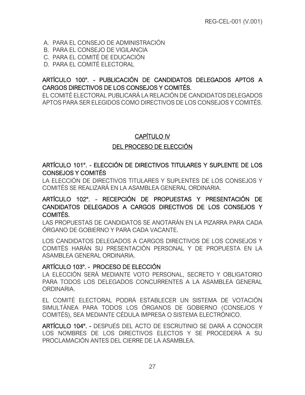- A. PARA EL CONSEJO DE ADMINISTRACIÓN
- B. PARA EL CONSEJO DE VIGILANCIA
- C. PARA EL COMITÉ DE EDUCACIÓN
- D. PARA EL COMITÉ ELECTORAL

# ARTÍCULO 100°. - PUBLICACIÓN DE CANDIDATOS DELEGADOS APTOS A CARGOS DIRECTIVOS DE LOS CONSEJOS Y COMITÉS.

<span id="page-34-0"></span>EL COMITÉ ELECTORAL PUBLICARÁ LA RELACIÓN DE CANDIDATOS DELEGADOS APTOS PARA SER ELEGIDOS COMO DIRECTIVOS DE LOS CONSEJOS Y COMITÉS.

# CAPÍTULO IV

# DEL PROCESO DE ELECCIÓN

## <span id="page-34-2"></span><span id="page-34-1"></span>ARTÍCULO 101°. - ELECCIÓN DE DIRECTIVOS TITULARES Y SUPLENTE DE LOS CONSEJOS Y COMITÉS

<span id="page-34-3"></span>LA ELECCIÓN DE DIRECTIVOS TITULARES Y SUPLENTES DE LOS CONSEJOS Y COMITÉS SE REALIZARÁ EN LA ASAMBLEA GENERAL ORDINARIA.

## ARTÍCULO 102°. - RECEPCIÓN DE PROPUESTAS Y PRESENTACIÓN DE CANDIDATOS DELEGADOS A CARGOS DIRECTIVOS DE LOS CONSEJOS Y COMITÉS.

<span id="page-34-4"></span>LAS PROPUESTAS DE CANDIDATOS SE ANOTARÁN EN LA PIZARRA PARA CADA ÓRGANO DE GOBIERNO Y PARA CADA VACANTE.

LOS CANDIDATOS DELEGADOS A CARGOS DIRECTIVOS DE LOS CONSEJOS Y COMITÉS HARÁN SU PRESENTACIÓN PERSONAL Y DE PROPUESTA EN LA ASAMBLEA GENERAL ORDINARIA.

#### ARTÍCULO 103°. - PROCESO DE ELECCIÓN

LA ELECCIÓN SERÁ MEDIANTE VOTO PERSONAL, SECRETO Y OBLIGATORIO PARA TODOS LOS DELEGADOS CONCURRENTES A LA ASAMBLEA GENERAL **ORDINARIA** 

<span id="page-34-5"></span>EL COMITÉ ELECTORAL PODRÁ ESTABLECER UN SISTEMA DE VOTACIÓN SIMULTÁNEA PARA TODOS LOS ÓRGANOS DE GOBIERNO (CONSEJOS Y COMITÉS), SEA MEDIANTE CÉDULA IMPRESA O SISTEMA ELECTRÓNICO.

<span id="page-34-6"></span>ARTÍCULO 104°. - DESPUÉS DEL ACTO DE ESCRUTINIO SE DARÁ A CONOCER LOS NOMBRES DE LOS DIRECTIVOS ELECTOS Y SE PROCEDERÁ A SU PROCLAMACIÓN ANTES DEL CIERRE DE LA ASAMBLEA.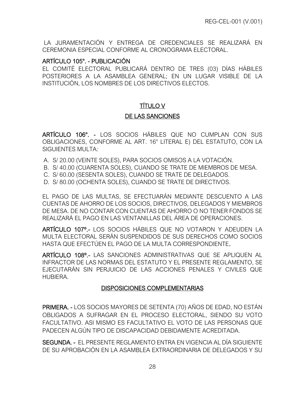LA JURAMENTACIÓN Y ENTREGA DE CREDENCIALES SE REALIZARÁ EN CEREMONIA ESPECIAL CONFORME AL CRONOGRAMA ELECTORAL.

#### ARTÍCULO 105°. - PUBLICACIÓN

<span id="page-35-0"></span>EL COMITÉ ELECTORAL PUBLICARÁ DENTRO DE TRES (03) DÍAS HÁBILES POSTERIORES A LA ASAMBLEA GENERAL; EN UN LUGAR VISIBLE DE LA INSTITUCIÓN, LOS NOMBRES DE LOS DIRECTIVOS ELECTOS.

# TÍTULO V

#### DE LAS SANCIONES

<span id="page-35-2"></span><span id="page-35-1"></span>ARTÍCULO 106°. - LOS SOCIOS HÁBILES QUE NO CUMPLAN CON SUS OBLIGACIONES, CONFORME AL ART. 16° LITERAL E) DEL ESTATUTO, CON LA SIGUIENTES MULTA:

- <span id="page-35-3"></span>A. S/ 20.00 (VEINTE SOLES), PARA SOCIOS OMISOS A LA VOTACIÓN.
- B. S/ 40.00 (CUARENTA SOLES), CUANDO SE TRATE DE MIEMBROS DE MESA.
- C. S/ 60.00 (SESENTA SOLES), CUANDO SE TRATE DE DELEGADOS.
- D. S/ 80.00 (OCHENTA SOLES), CUANDO SE TRATE DE DIRECTIVOS.

EL PAGO DE LAS MULTAS, SE EFECTUARÁN MEDIANTE DESCUENTO A LAS CUENTAS DE AHORRO DE LOS SOCIOS, DIRECTIVOS, DELEGADOS Y MIEMBROS DE MESA. DE NO CONTAR CON CUENTAS DE AHORRO O NO TENER FONDOS SE REALIZARÁ EL PAGO EN LAS VENTANILLAS DEL ÁREA DE OPERACIONES.

ARTÍCULO 107º.- LOS SOCIOS HÁBILES QUE NO VOTARON Y ADEUDEN LA MULTA ELECTORAL SERÁN SUSPENDIDOS DE SUS DERECHOS COMO SOCIOS HASTA QUE EFECTÚEN EL PAGO DE LA MULTA CORRESPONDIENTE.

<span id="page-35-5"></span><span id="page-35-4"></span>ARTÍCULO 108º.- LAS SANCIONES ADMINISTRATIVAS QUE SE APLIQUEN AL INFRACTOR DE LAS NORMAS DEL ESTATUTO Y EL PRESENTE REGLAMENTO, SE EJECUTARÁN SIN PERJUICIO DE LAS ACCIONES PENALES Y CIVILES QUE HUBIERA.

#### DISPOSICIONES COMPLEMENTARIAS

<span id="page-35-6"></span>PRIMERA. - LOS SOCIOS MAYORES DE SETENTA (70) AÑOS DE EDAD, NO ESTÁN OBLIGADOS A SUFRAGAR EN EL PROCESO ELECTORAL, SIENDO SU VOTO FACULTATIVO. ASI MISMO ES FACULTATIVO EL VOTO DE LAS PERSONAS QUE PADECEN ALGÚN TIPO DE DISCAPACIDAD DEBIDAMENTE ACREDITADA.

<span id="page-35-8"></span><span id="page-35-7"></span>SEGUNDA. - EL PRESENTE REGLAMENTO ENTRA EN VIGENCIA AL DÍA SIGUIENTE DE SU APROBACIÓN EN LA ASAMBLEA EXTRAORDINARIA DE DELEGADOS Y SU